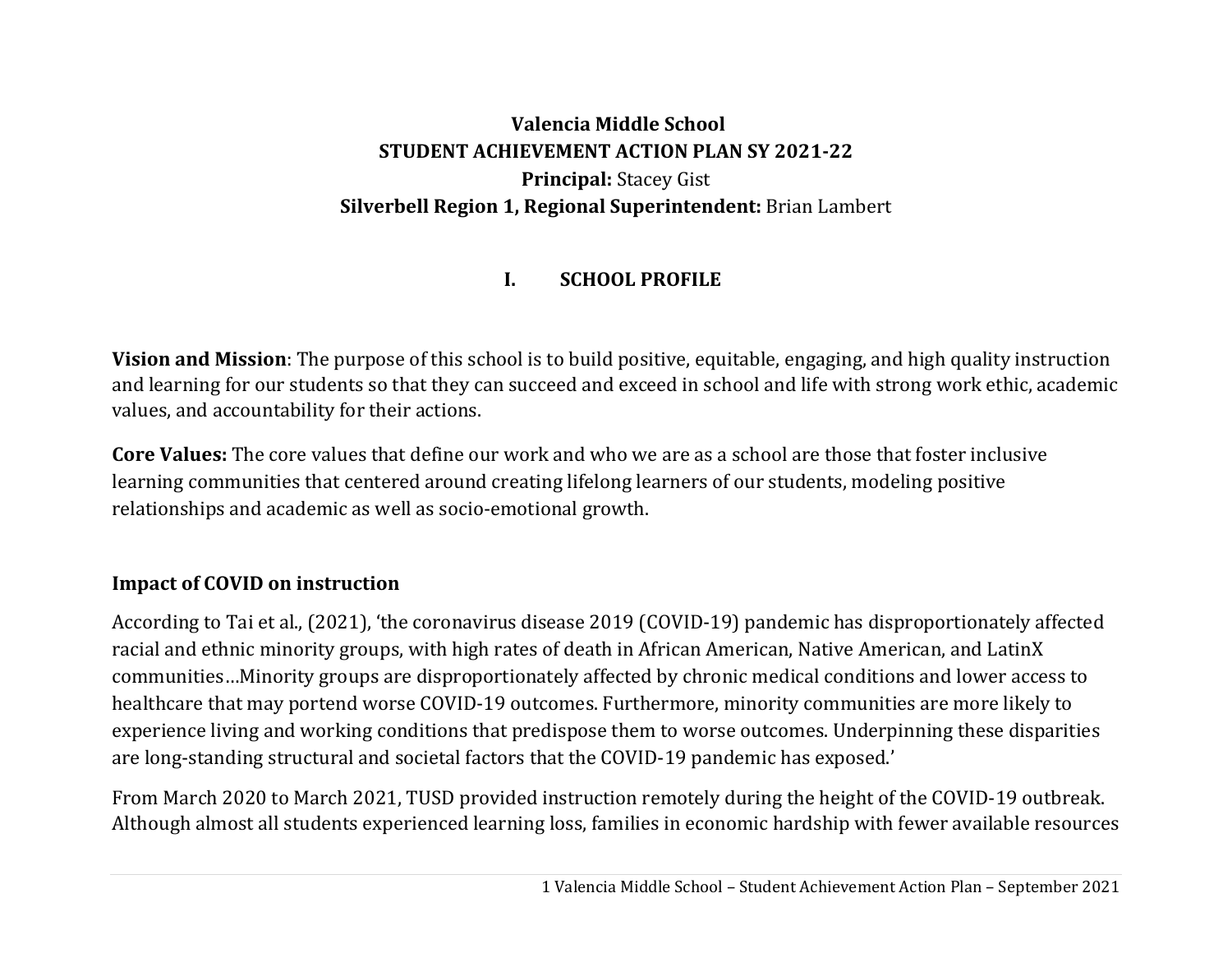# **Valencia Middle School STUDENT ACHIEVEMENT ACTION PLAN SY 2021‐22 Principal:** Stacey Gist **Silverbell Region 1, Regional Superintendent:** Brian Lambert

#### **I.SCHOOL PROFILE**

**Vision and Mission**: The purpose of this school is to build positive, equitable, engaging, and high quality instruction and learning for our students so that they can succeed and exceed in school and life with strong work ethic, academic values, and accountability for their actions.

**Core Values:** The core values that define our work and who we are as a school are those that foster inclusive learning communities that centered around creating lifelong learners of our students, modeling positive relationships and academic as well as socio-emotional growth.

## **Impact of COVID on instruction**

According to Tai et al., (2021), 'the coronavirus disease 2019 (COVID-19) pandemic has disproportionately affected racial and ethnic minority groups, with high rates of death in African American, Native American, and LatinX communities…Minority groups are disproportionately affected by chronic medical conditions and lower access to healthcare that may portend worse COVID-19 outcomes. Furthermore, minority communities are more likely to experience living and working conditions that predispose them to worse outcomes. Underpinning these disparities are long-standing structural and societal factors that the COVID-19 pandemic has exposed.'

From March 2020 to March 2021, TUSD provided instruction remotely during the height of the COVID-19 outbreak. Although almost all students experienced learning loss, families in economic hardship with fewer available resources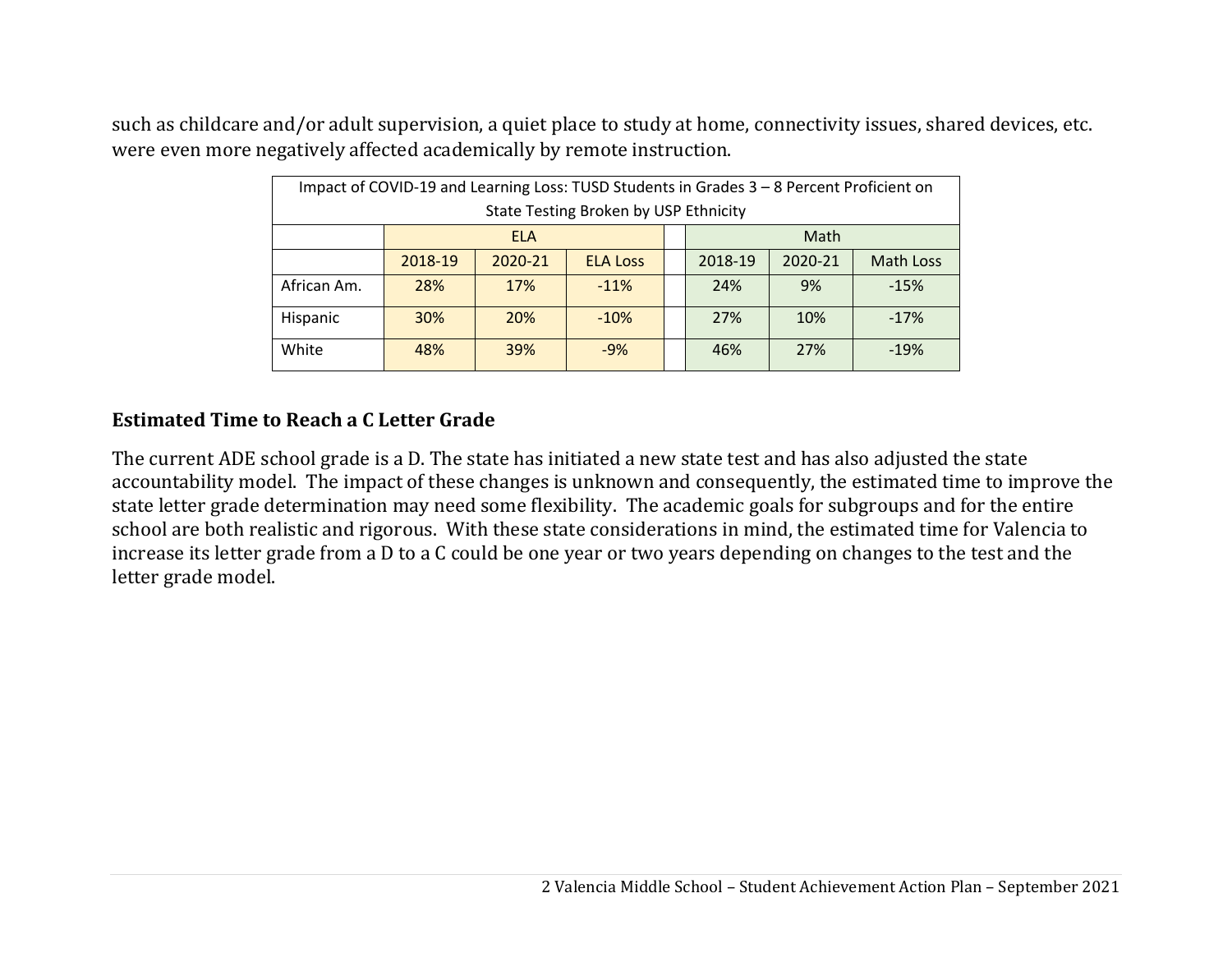such as childcare and/or adult supervision, a quiet place to study at home, connectivity issues, shared devices, etc. were even more negatively affected academically by remote instruction.

| Impact of COVID-19 and Learning Loss: TUSD Students in Grades 3 - 8 Percent Proficient on |            |            |                 |  |                                        |     |        |  |
|-------------------------------------------------------------------------------------------|------------|------------|-----------------|--|----------------------------------------|-----|--------|--|
| State Testing Broken by USP Ethnicity                                                     |            |            |                 |  |                                        |     |        |  |
|                                                                                           | <b>ELA</b> |            |                 |  | Math                                   |     |        |  |
|                                                                                           | 2018-19    | 2020-21    | <b>ELA Loss</b> |  | 2020-21<br>2018-19<br><b>Math Loss</b> |     |        |  |
| African Am.                                                                               | 28%        | 17%        | $-11%$          |  | 24%                                    | 9%  | $-15%$ |  |
| Hispanic                                                                                  | <b>30%</b> | <b>20%</b> | $-10%$          |  | 27%                                    | 10% | $-17%$ |  |
| White                                                                                     | 48%        | <b>39%</b> | $-9%$           |  | 46%                                    | 27% | $-19%$ |  |

## **Estimated Time to Reach <sup>a</sup> C Letter Grade**

The current ADE school grade is a D. The state has initiated a new state test and has also adjusted the state accountability model. The impact of these changes is unknown and consequently, the estimated time to improve the state letter grade determination may need some flexibility. The academic goals for subgroups and for the entire school are both realistic and rigorous. With these state considerations in mind, the estimated time for Valencia to increase its letter grade from a D to a C could be one year or two years depending on changes to the test and the letter grade model.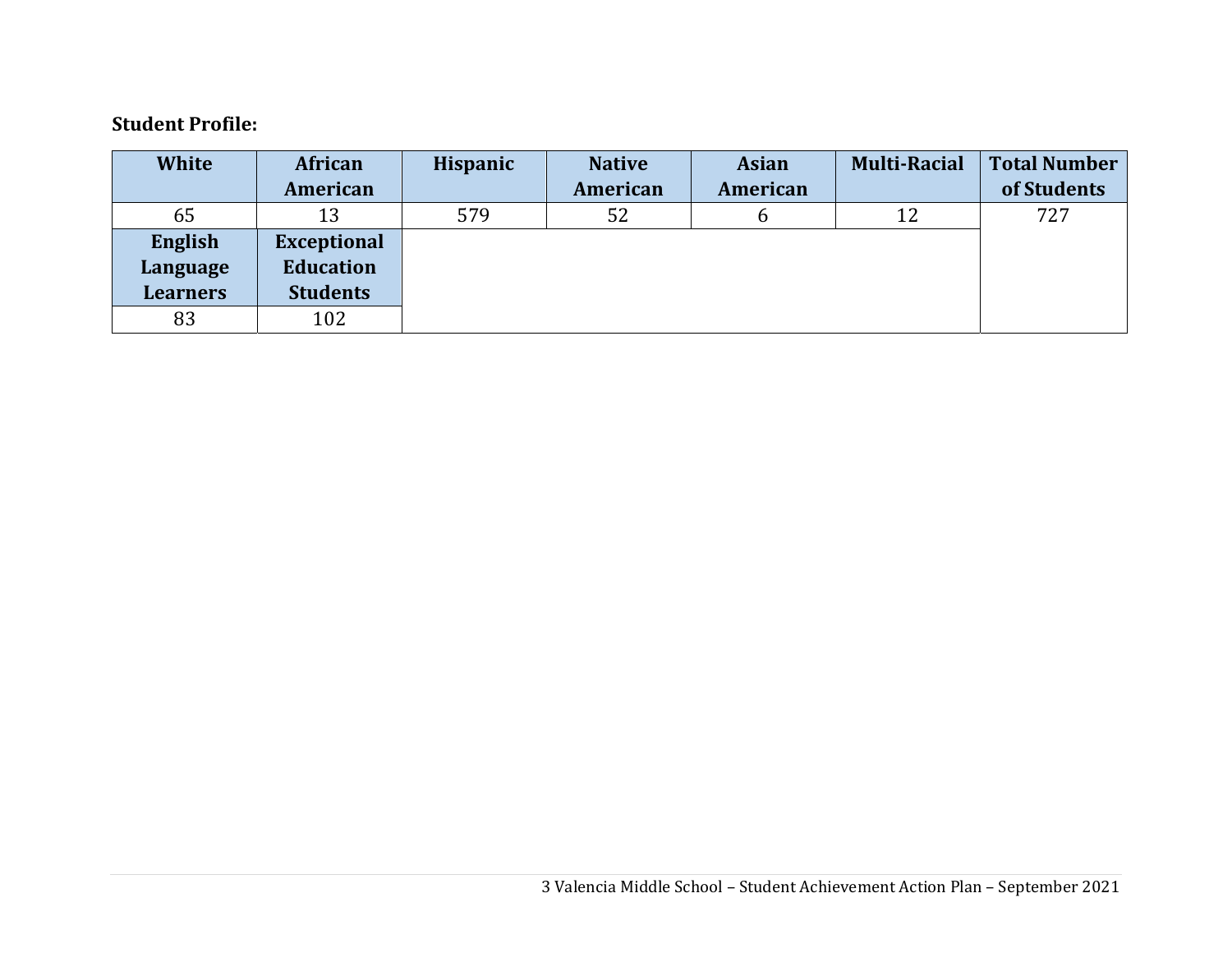#### **Student Profile:**

| <b>White</b>    | African            | <b>Hispanic</b> | <b>Native</b> | <b>Asian</b> | <b>Multi-Racial</b> | <b>Total Number</b> |
|-----------------|--------------------|-----------------|---------------|--------------|---------------------|---------------------|
|                 | American           |                 | American      | American     |                     | of Students         |
| 65              | 13                 | 579             | 52            | b            | 12                  | 727                 |
| English         | <b>Exceptional</b> |                 |               |              |                     |                     |
| Language        | <b>Education</b>   |                 |               |              |                     |                     |
| <b>Learners</b> | <b>Students</b>    |                 |               |              |                     |                     |
| 83              | 102                |                 |               |              |                     |                     |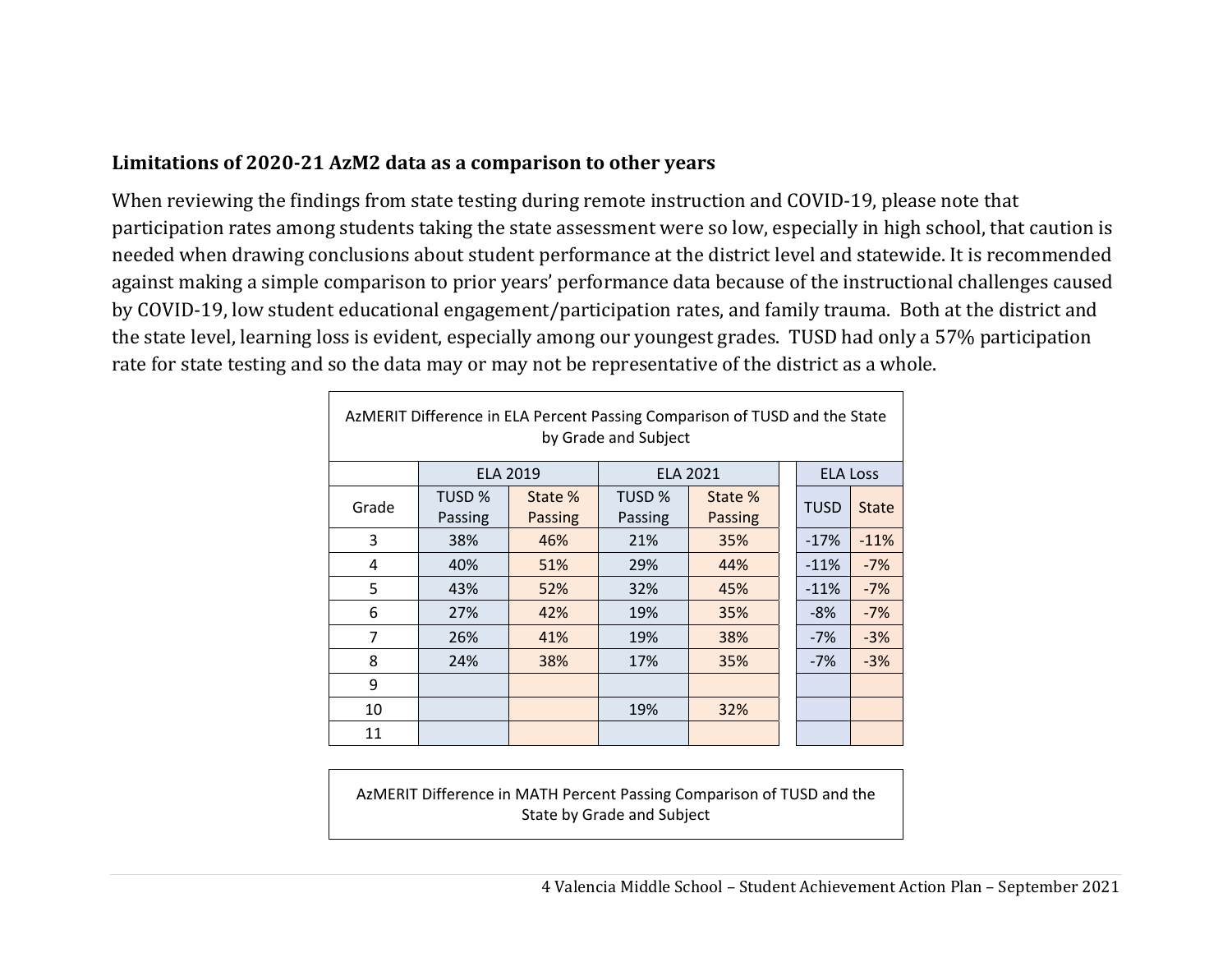## **Limitations of 2020‐21 AzM2 data as <sup>a</sup> comparison to other years**

When reviewing the findings from state testing during remote instruction and COVID-19, please note that participation rates among students taking the state assessment were so low, especially in high school, that caution is needed when drawing conclusions about student performance at the district level and statewide. It is recommended against making a simple comparison to prior years' performance data because of the instructional challenges caused by COVID-19, low student educational engagement/participation rates, and family trauma. Both at the district and the state level, learning loss is evident, especially among our youngest grades. TUSD had only a 57% participation rate for state testing and so the data may or may not be representative of the district as a whole.

| AzMERIT Difference in ELA Percent Passing Comparison of TUSD and the State<br>by Grade and Subject |                 |         |         |                 |  |                 |              |
|----------------------------------------------------------------------------------------------------|-----------------|---------|---------|-----------------|--|-----------------|--------------|
|                                                                                                    | <b>ELA 2019</b> |         |         | <b>ELA 2021</b> |  | <b>ELA Loss</b> |              |
| Grade                                                                                              | TUSD %          | State % | TUSD %  | State %         |  | <b>TUSD</b>     | <b>State</b> |
|                                                                                                    | Passing         | Passing | Passing | Passing         |  |                 |              |
| 3                                                                                                  | 38%             | 46%     | 21%     | 35%             |  | $-17%$          | $-11%$       |
| 4                                                                                                  | 40%             | 51%     | 29%     | 44%             |  | $-11%$          | $-7%$        |
| 5                                                                                                  | 43%             | 52%     | 32%     | 45%             |  | $-11%$          | $-7%$        |
| 6                                                                                                  | 27%             | 42%     | 19%     | 35%             |  | $-8%$           | $-7%$        |
| 7                                                                                                  | 26%             | 41%     | 19%     | 38%             |  | $-7%$           | $-3%$        |
| 8                                                                                                  | 24%             | 38%     | 17%     | 35%             |  | $-7%$           | $-3%$        |
| 9                                                                                                  |                 |         |         |                 |  |                 |              |
| 10                                                                                                 |                 |         | 19%     | 32%             |  |                 |              |
| 11                                                                                                 |                 |         |         |                 |  |                 |              |

AzMERIT Difference in MATH Percent Passing Comparison of TUSD and the State by Grade and Subject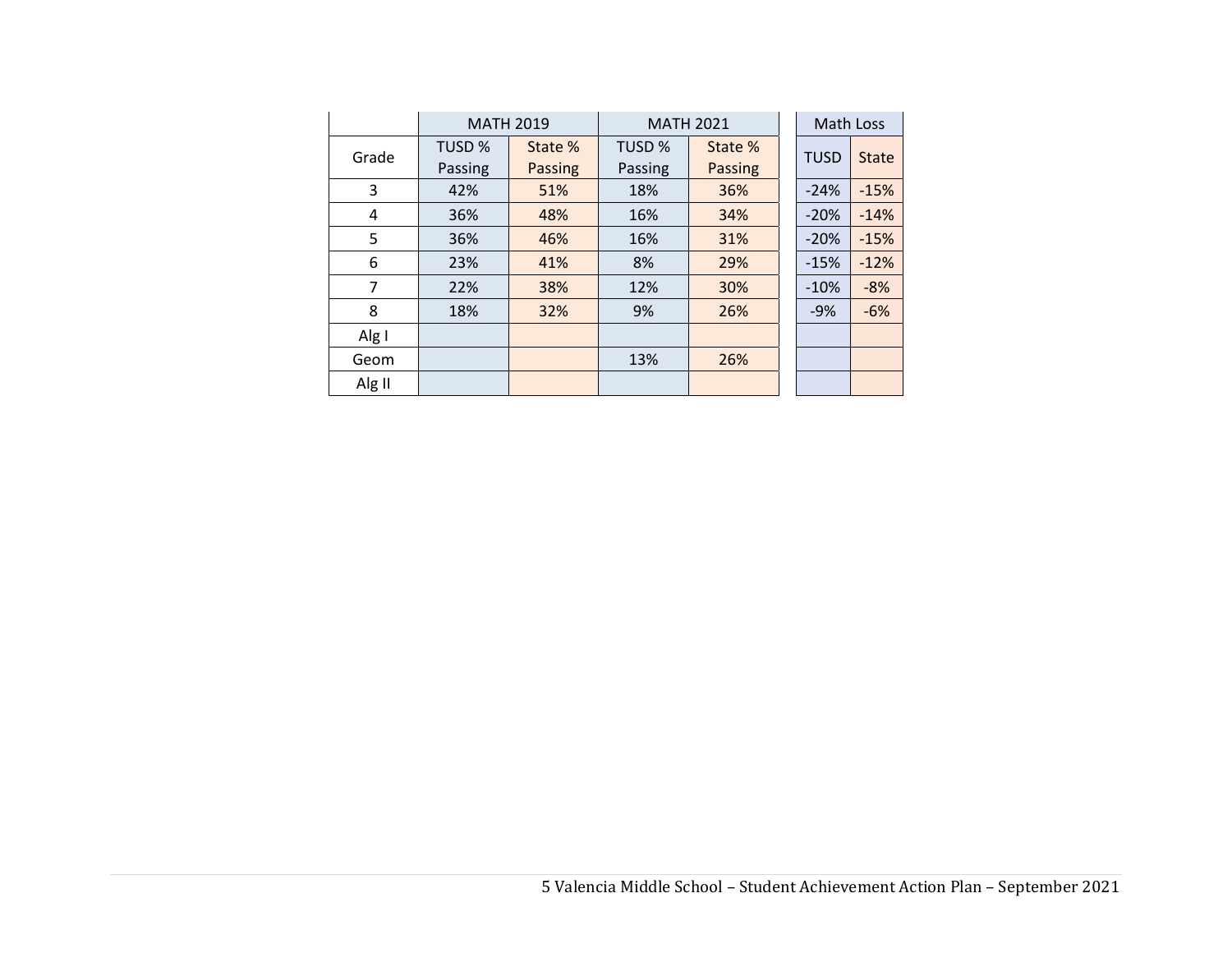|        | <b>MATH 2019</b> |         | <b>MATH 2021</b> |         | Math Loss   |              |
|--------|------------------|---------|------------------|---------|-------------|--------------|
| Grade  | <b>TUSD %</b>    | State % | TUSD %           | State % | <b>TUSD</b> | <b>State</b> |
|        | Passing          | Passing | Passing          | Passing |             |              |
| 3      | 42%              | 51%     | 18%              | 36%     | $-24%$      | $-15%$       |
| 4      | 36%              | 48%     | 16%              | 34%     | $-20%$      | $-14%$       |
| 5      | 36%              | 46%     | 16%              | 31%     | $-20%$      | $-15%$       |
| 6      | 23%              | 41%     | 8%               | 29%     | $-15%$      | $-12%$       |
| 7      | 22%              | 38%     | 12%              | 30%     | $-10%$      | $-8%$        |
| 8      | 18%              | 32%     | 9%               | 26%     | $-9%$       | $-6%$        |
| Alg I  |                  |         |                  |         |             |              |
| Geom   |                  |         | 13%              | 26%     |             |              |
| Alg II |                  |         |                  |         |             |              |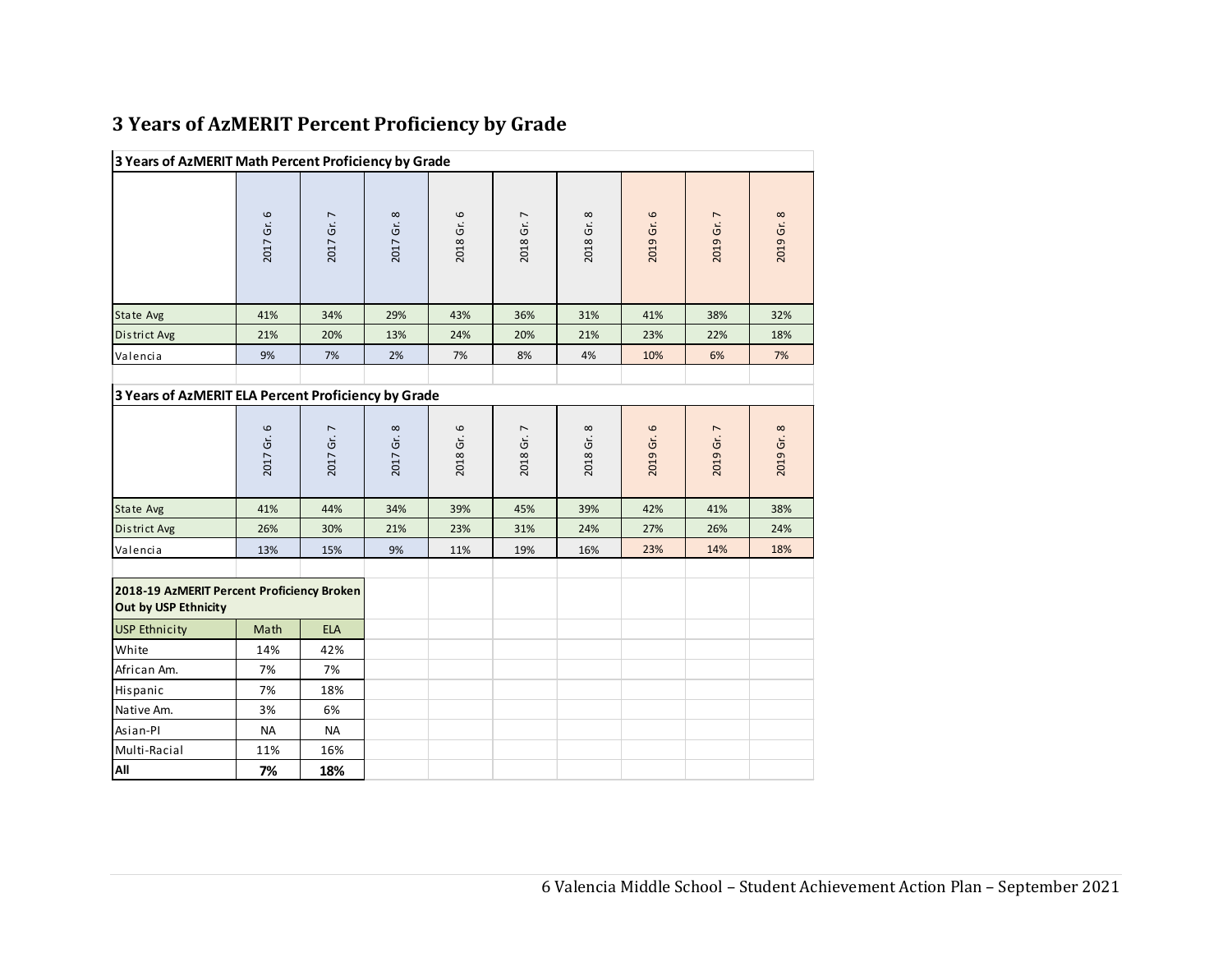| 3 Years of AzMERIT Percent Proficiency by Grade |  |  |  |  |
|-------------------------------------------------|--|--|--|--|
|-------------------------------------------------|--|--|--|--|

| 3 Years of AzMERIT Math Percent Proficiency by Grade               |            |            |            |            |            |            |            |            |            |
|--------------------------------------------------------------------|------------|------------|------------|------------|------------|------------|------------|------------|------------|
|                                                                    | 2017 Gr. 6 | 2017 Gr. 7 | 2017 Gr. 8 | 2018 Gr. 6 | 2018 Gr. 7 | 2018 Gr. 8 | 2019 Gr. 6 | 2019 Gr. 7 | 2019 Gr. 8 |
| State Avg                                                          | 41%        | 34%        | 29%        | 43%        | 36%        | 31%        | 41%        | 38%        | 32%        |
| District Avg                                                       | 21%        | 20%        | 13%        | 24%        | 20%        | 21%        | 23%        | 22%        | 18%        |
| Valencia                                                           | 9%         | 7%         | 2%         | 7%         | 8%         | 4%         | 10%        | 6%         | 7%         |
|                                                                    |            |            |            |            |            |            |            |            |            |
| 3 Years of AzMERIT ELA Percent Proficiency by Grade                |            |            |            |            |            |            |            |            |            |
|                                                                    | 2017 Gr. 6 | 2017 Gr. 7 | 2017 Gr. 8 | 2018 Gr. 6 | 2018 Gr. 7 | 2018 Gr. 8 | 2019 Gr. 6 | 2019 Gr. 7 | 2019 Gr. 8 |
| State Avg                                                          | 41%        | 44%        | 34%        | 39%        | 45%        | 39%        | 42%        | 41%        | 38%        |
| District Avg                                                       | 26%        | 30%        | 21%        | 23%        | 31%        | 24%        | 27%        | 26%        | 24%        |
| Valencia                                                           | 13%        | 15%        | 9%         | 11%        | 19%        | 16%        | 23%        | 14%        | 18%        |
| 2018-19 AzMERIT Percent Proficiency Broken<br>Out by USP Ethnicity |            |            |            |            |            |            |            |            |            |
| <b>USP Ethnicity</b>                                               | Math       | <b>ELA</b> |            |            |            |            |            |            |            |
| White                                                              | 14%        | 42%        |            |            |            |            |            |            |            |
| African Am.                                                        | 7%         | 7%         |            |            |            |            |            |            |            |
| Hispanic                                                           | 7%         | 18%        |            |            |            |            |            |            |            |
| Native Am.                                                         | 3%         | 6%         |            |            |            |            |            |            |            |
| Asian-Pl                                                           | <b>NA</b>  | <b>NA</b>  |            |            |            |            |            |            |            |
| Multi-Racial                                                       | 11%        | 16%        |            |            |            |            |            |            |            |
| All                                                                | 7%         | 18%        |            |            |            |            |            |            |            |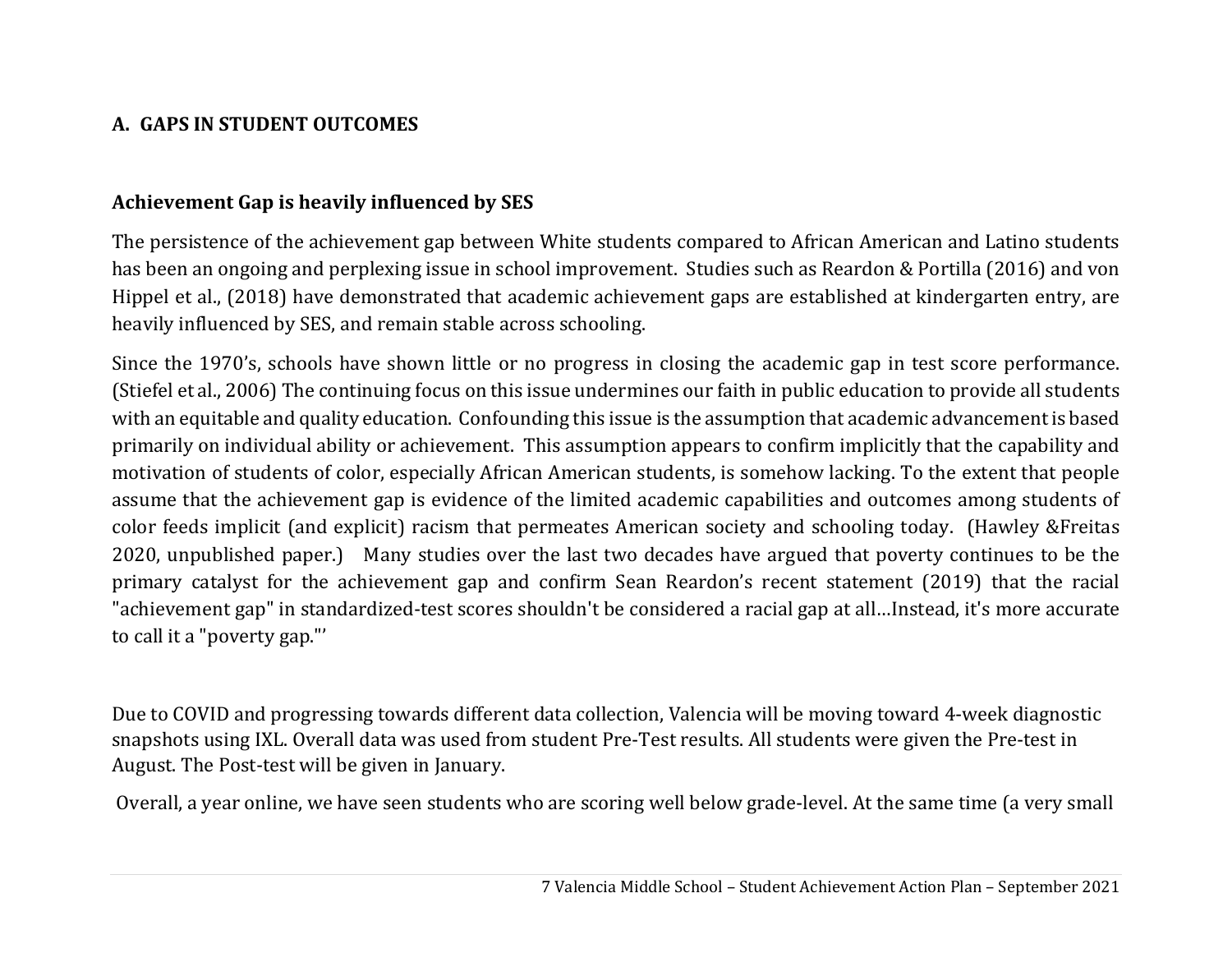# **A. GAPS IN STUDENT OUTCOMES**

## **Achievement Gap is heavily influenced by SES**

The persistence of the achievement gap between White students compared to African American and Latino students has been an ongoing and perplexing issue in school improvement. Studies such as Reardon & Portilla (2016) and von Hippel et al., (2018) have demonstrated that academic achievement gaps are established at kindergarten entry, are heavily influenced by SES, and remain stable across schooling.

Since the 1970's, schools have shown little or no progress in closing the academic gap in test score performance. (Stiefel et al., 2006) The continuing focus on this issue undermines our faith in public education to provide all students with an equitable and quality education. Confounding this issue is the assumption that academic advancement is based primarily on individual ability or achievement. This assumption appears to confirm implicitly that the capability and motivation of students of color, especially African American students, is somehow lacking. To the extent that people assume that the achievement gap is evidence of the limited academic capabilities and outcomes among students of color feeds implicit (and explicit) racism that permeates American society and schooling today. (Hawley &Freitas 2020, unpublished paper.) Many studies over the last two decades have argued that poverty continues to be the primary catalyst for the achievement gap and confirm Sean Reardon's recent statement (2019) that the racial "achievement gap" in standardized-test scores shouldn't be considered a racial gap at all…Instead, it's more accurate to call it a "poverty gap."'

Due to COVID and progressing towards different data collection, Valencia will be moving toward 4-week diagnostic snapshots using IXL. Overall data was used from student Pre-Test results. All students were given the Pre-test in August. The Post-test will be given in January.

Overall, a year online, we have seen students who are scoring well below grade-level. At the same time (a very small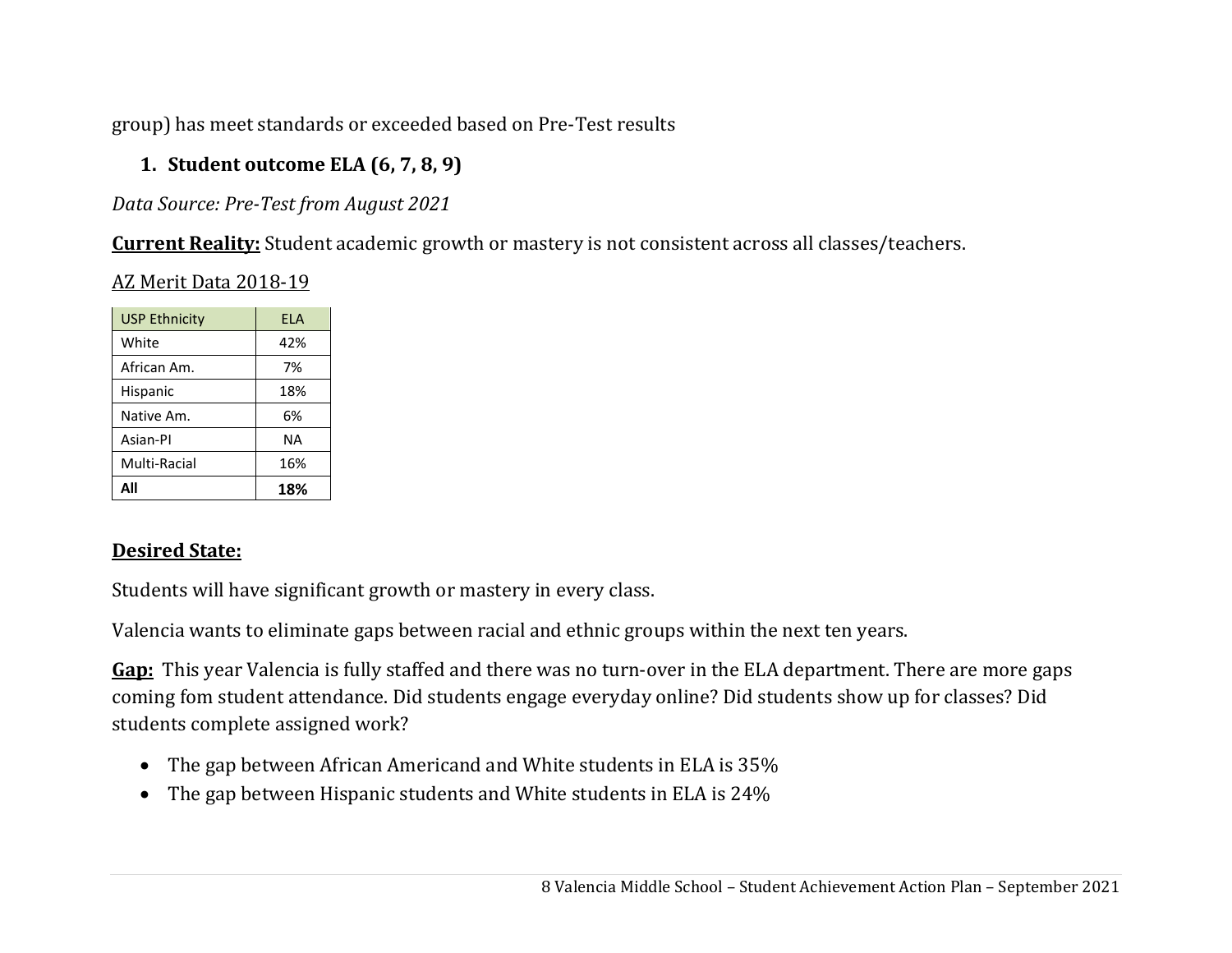group) has meet standards or exceeded based on Pre-Test results

# **1. Student outcome ELA (6, 7, 8, 9)**

*Data Source: Pre‐Test from August 2021*

**Current Reality:** Student academic growth or mastery is not consistent across all classes/teachers.

AZ Merit Data 2018-19

| <b>USP Ethnicity</b> | FI A |
|----------------------|------|
| White                | 42%  |
| African Am.          | 7%   |
| Hispanic             | 18%  |
| Native Am.           | 6%   |
| Asian-Pl             | ΝA   |
| Multi-Racial         | 16%  |
| ΔII                  | 18%  |

# **Desired State:**

Students will have significant growth or mastery in every class.

Valencia wants to eliminate gaps between racial and ethnic groups within the next ten years.

**Gap:** This year Valencia is fully staffed and there was no turn-over in the ELA department. There are more gaps coming fom student attendance. Did students engage everyday online? Did students show up for classes? Did students complete assigned work?

- The gap between African Americand and White students in ELA is 35%
- The gap between Hispanic students and White students in ELA is 24%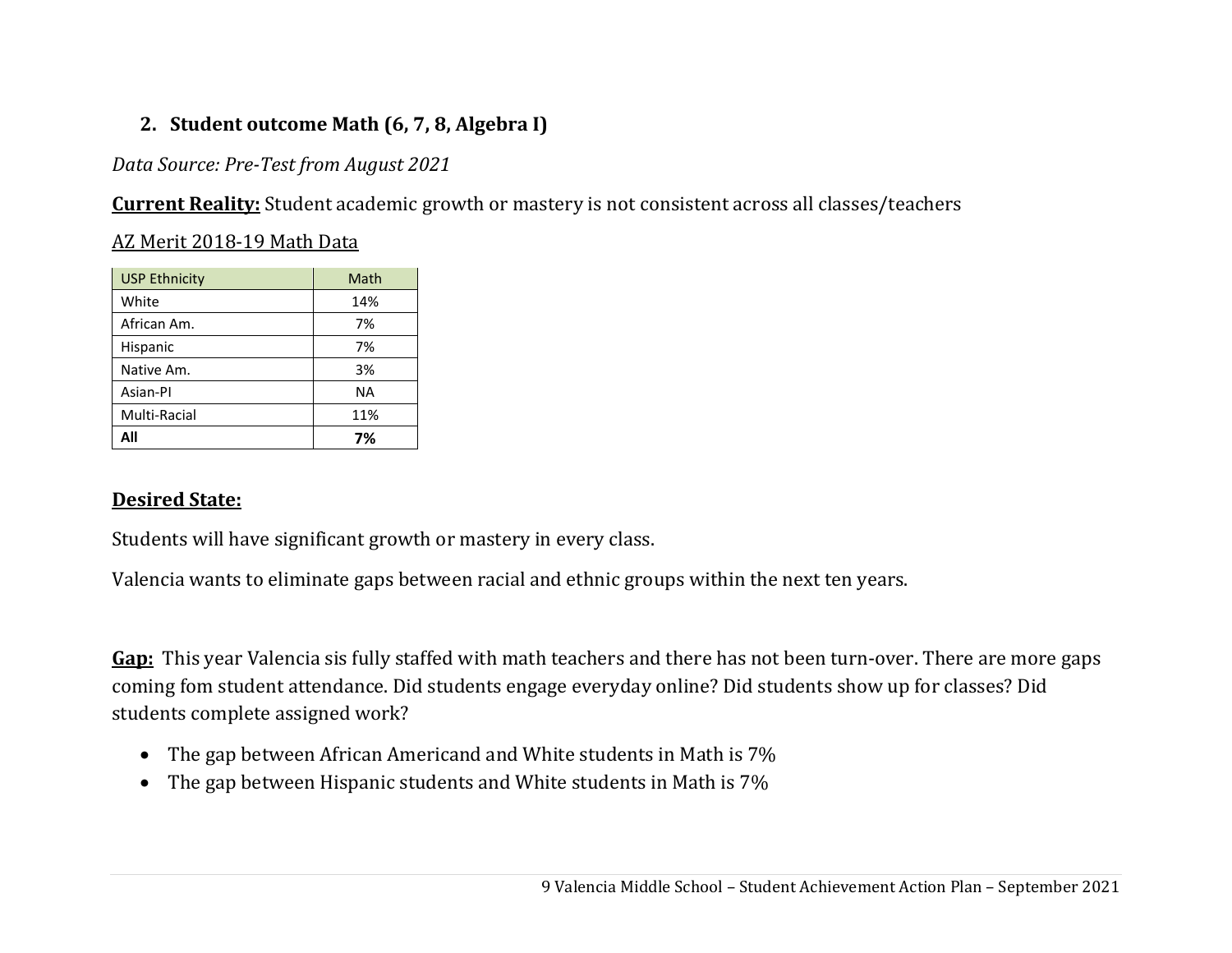# **2. Student outcome Math (6, 7, 8, Algebra I)**

*Data Source: Pre‐Test from August 2021*

**Current Reality:** Student academic growth or mastery is not consistent across all classes/teachers

## AZ Merit 2018-19 Math Data

| <b>USP Ethnicity</b> | Math |
|----------------------|------|
| White                | 14%  |
| African Am.          | 7%   |
| Hispanic             | 7%   |
| Native Am.           | 3%   |
| Asian-PI             | ΝA   |
| Multi-Racial         | 11%  |
| All                  | 7%   |

## **Desired State:**

Students will have significant growth or mastery in every class.

Valencia wants to eliminate gaps between racial and ethnic groups within the next ten years.

**Gap:** This year Valencia sis fully staffed with math teachers and there has not been turn-over. There are more gaps coming fom student attendance. Did students engage everyday online? Did students show up for classes? Did students complete assigned work?

- The gap between African Americand and White students in Math is 7%
- The gap between Hispanic students and White students in Math is 7%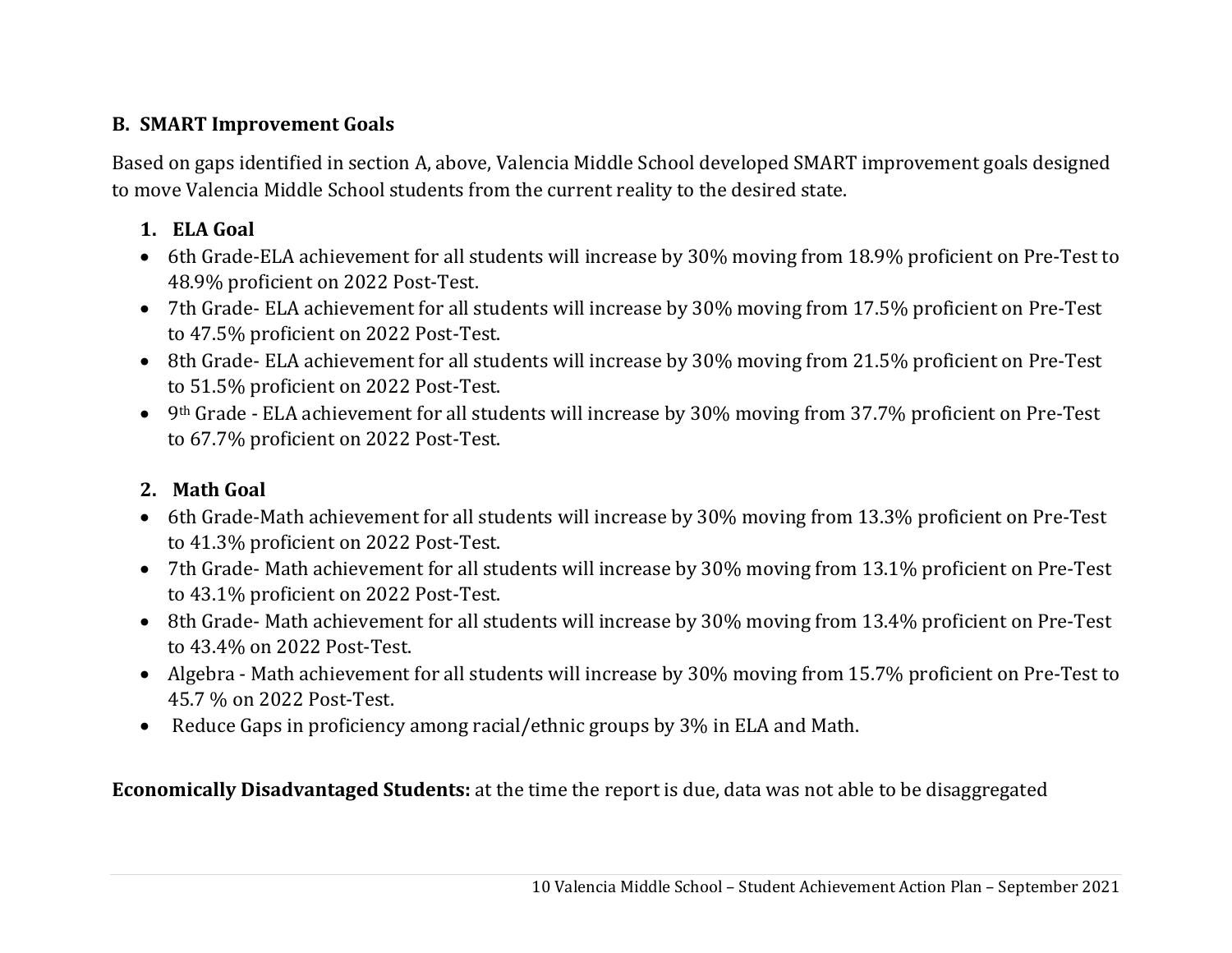# **B. SMART Improvement Goals**

Based on gaps identified in section A, above, Valencia Middle School developed SMART improvement goals designed to move Valencia Middle School students from the current reality to the desired state.

# **1. ELA Goal**

- 6th Grade-ELA achievement for all students will increase by 30% moving from 18.9% proficient on Pre-Test to 48.9% proficient on 2022 Post-Test.
- 7th Grade- ELA achievement for all students will increase by 30% moving from 17.5% proficient on Pre-Test to 47.5% proficient on 2022 Post-Test.
- 8th Grade- ELA achievement for all students will increase by 30% moving from 21.5% proficient on Pre-Test to 51.5% proficient on 2022 Post-Test.
- 9th Grade ELA achievement for all students will increase by 30% moving from 37.7% proficient on Pre-Test to 67.7% proficient on 2022 Post-Test.

# **2. Math Goal**

- 6th Grade-Math achievement for all students will increase by 30% moving from 13.3% proficient on Pre-Test to 41.3% proficient on 2022 Post-Test.
- 7th Grade- Math achievement for all students will increase by 30% moving from 13.1% proficient on Pre-Test to 43.1% proficient on 2022 Post-Test.
- 8th Grade- Math achievement for all students will increase by 30% moving from 13.4% proficient on Pre-Test to 43.4% on 2022 Post-Test.
- Algebra Math achievement for all students will increase by 30% moving from 15.7% proficient on Pre-Test to 45.7 % on 2022 Post-Test.
- Reduce Gaps in proficiency among racial/ethnic groups by 3% in ELA and Math.

**Economically Disadvantaged Students:** at the time the report is due, data was not able to be disaggregated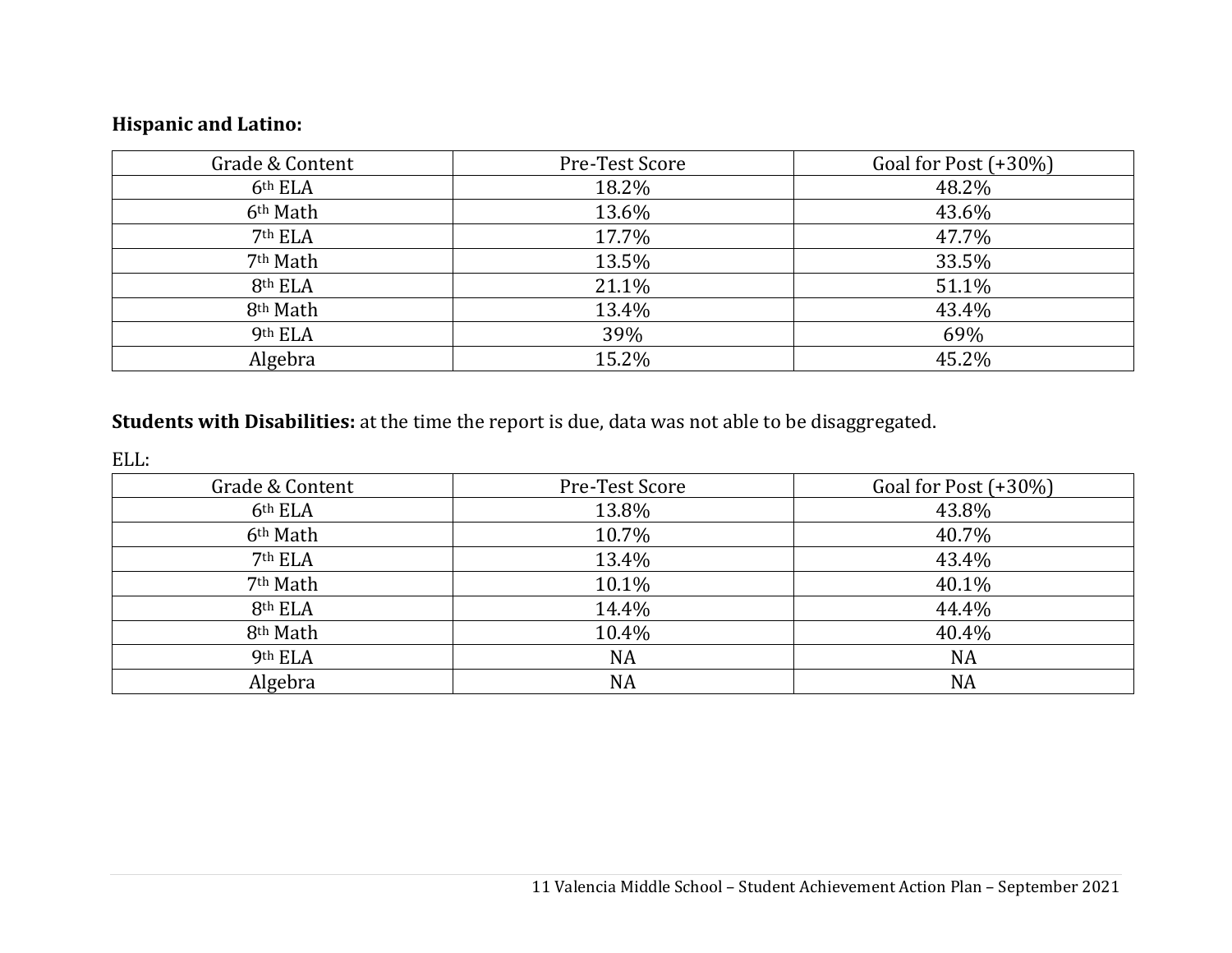# **Hispanic and Latino:**

| Grade & Content      | Pre-Test Score | Goal for Post $(+30\%)$ |
|----------------------|----------------|-------------------------|
| 6th ELA              | 18.2%          | 48.2%                   |
| 6 <sup>th</sup> Math | 13.6%          | 43.6%                   |
| 7 <sup>th</sup> ELA  | 17.7%          | 47.7%                   |
| 7 <sup>th</sup> Math | 13.5%          | 33.5%                   |
| 8th ELA              | 21.1%          | 51.1%                   |
| 8 <sup>th</sup> Math | 13.4%          | 43.4%                   |
| 9th ELA              | 39%            | 69%                     |
| Algebra              | 15.2%          | 45.2%                   |

## **Students with Disabilities:** at the time the report is due, data was not able to be disaggregated.

ELL:

| Grade & Content      | Pre-Test Score | Goal for Post (+30%) |
|----------------------|----------------|----------------------|
| 6 <sup>th</sup> ELA  | 13.8%          | 43.8%                |
| 6 <sup>th</sup> Math | 10.7%          | 40.7%                |
| 7 <sup>th</sup> ELA  | 13.4%          | 43.4%                |
| 7 <sup>th</sup> Math | 10.1%          | 40.1%                |
| 8th ELA              | 14.4%          | 44.4%                |
| 8 <sup>th</sup> Math | 10.4%          | 40.4%                |
| 9th ELA              | <b>NA</b>      | <b>NA</b>            |
| Algebra              | <b>NA</b>      | <b>NA</b>            |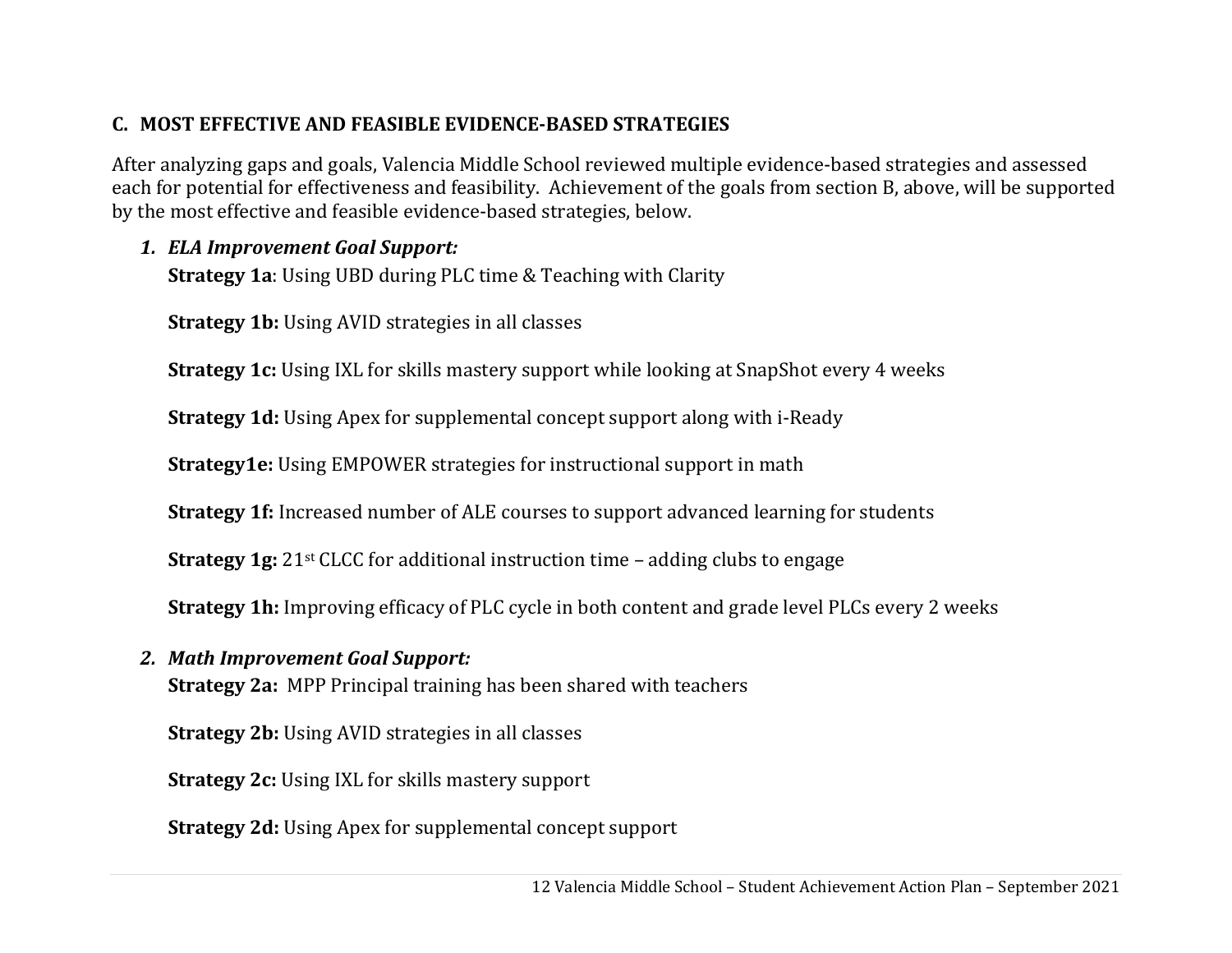# **C. MOST EFFECTIVE AND FEASIBLE EVIDENCE‐BASED STRATEGIES**

After analyzing gaps and goals, Valencia Middle School reviewed multiple evidence-based strategies and assessed each for potential for effectiveness and feasibility. Achievement of the goals from section B, above, will be supported by the most effective and feasible evidence-based strategies, below.

# *1. ELA Improvement Goal Support:*

**Strategy 1a**: Using UBD during PLC time & Teaching with Clarity

**Strategy 1b:** Using AVID strategies in all classes

**Strategy 1c:** Using IXL for skills mastery support while looking at SnapShot every 4 weeks

**Strategy 1d:** Using Apex for supplemental concept support along with i-Ready

**Strategy1e:** Using EMPOWER strategies for instructional support in math

**Strategy 1f:** Increased number of ALE courses to support advanced learning for students

**Strategy 1g:** 21st CLCC for additional instruction time – adding clubs to engage

**Strategy 1h:** Improving efficacy of PLC cycle in both content and grade level PLCs every 2 weeks

*2. Math Improvement Goal Support:*

**Strategy 2a:** MPP Principal training has been shared with teachers

**Strategy 2b:** Using AVID strategies in all classes

**Strategy 2c:** Using IXL for skills mastery support

**Strategy 2d:** Using Apex for supplemental concept support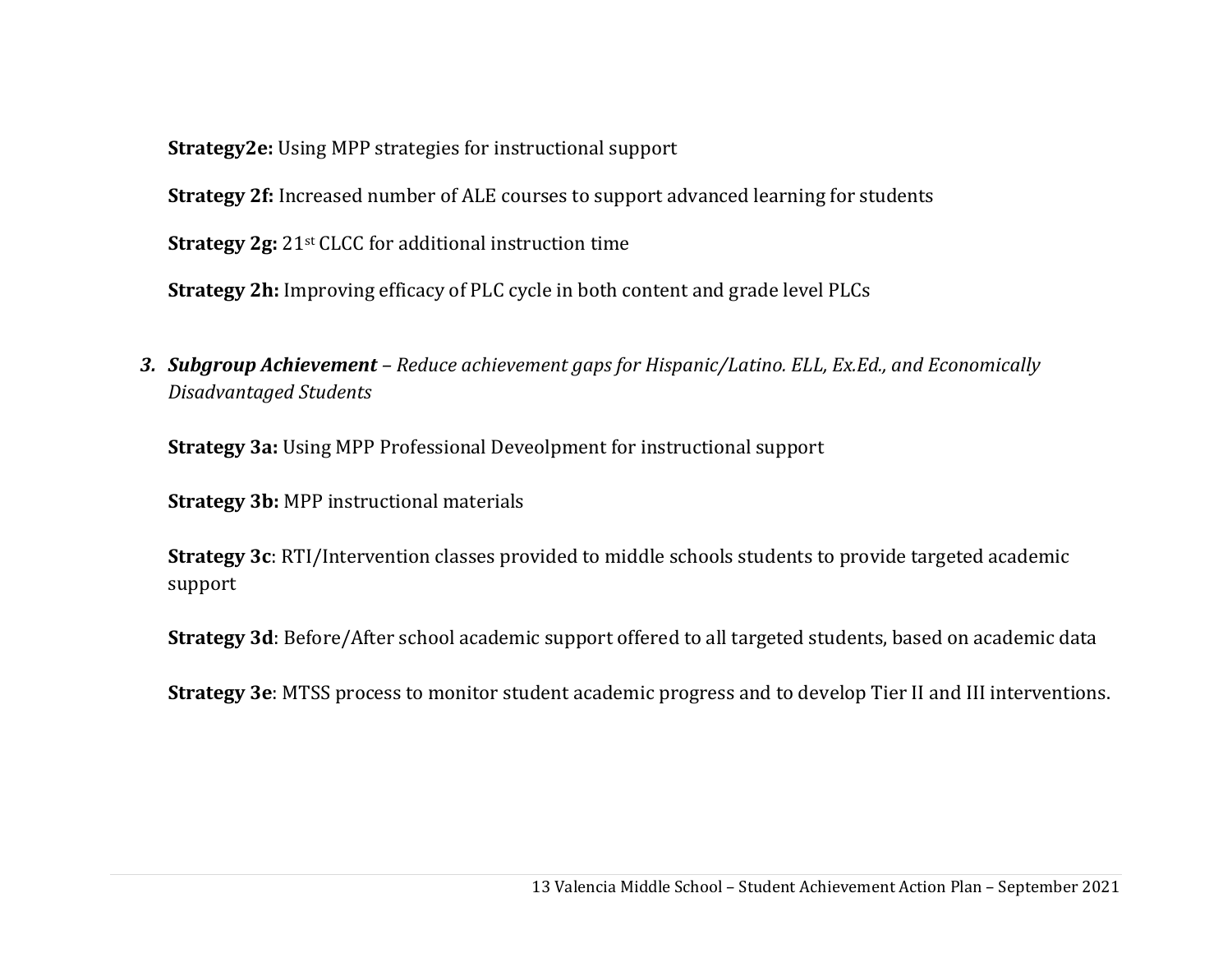**Strategy2e:** Using MPP strategies for instructional support

**Strategy 2f:** Increased number of ALE courses to support advanced learning for students

**Strategy 2g:** 21st CLCC for additional instruction time

**Strategy 2h:** Improving efficacy of PLC cycle in both content and grade level PLCs

*3. Subgroup Achievement – Reduce achievement gaps for Hispanic/Latino. ELL, Ex.Ed., and Economically Disadvantaged Students*

**Strategy 3a:** Using MPP Professional Deveolpment for instructional support

**Strategy 3b:** MPP instructional materials

**Strategy 3c**: RTI/Intervention classes provided to middle schools students to provide targeted academic support

**Strategy 3d**: Before/After school academic support offered to all targeted students, based on academic data

**Strategy 3e**: MTSS process to monitor student academic progress and to develop Tier II and III interventions.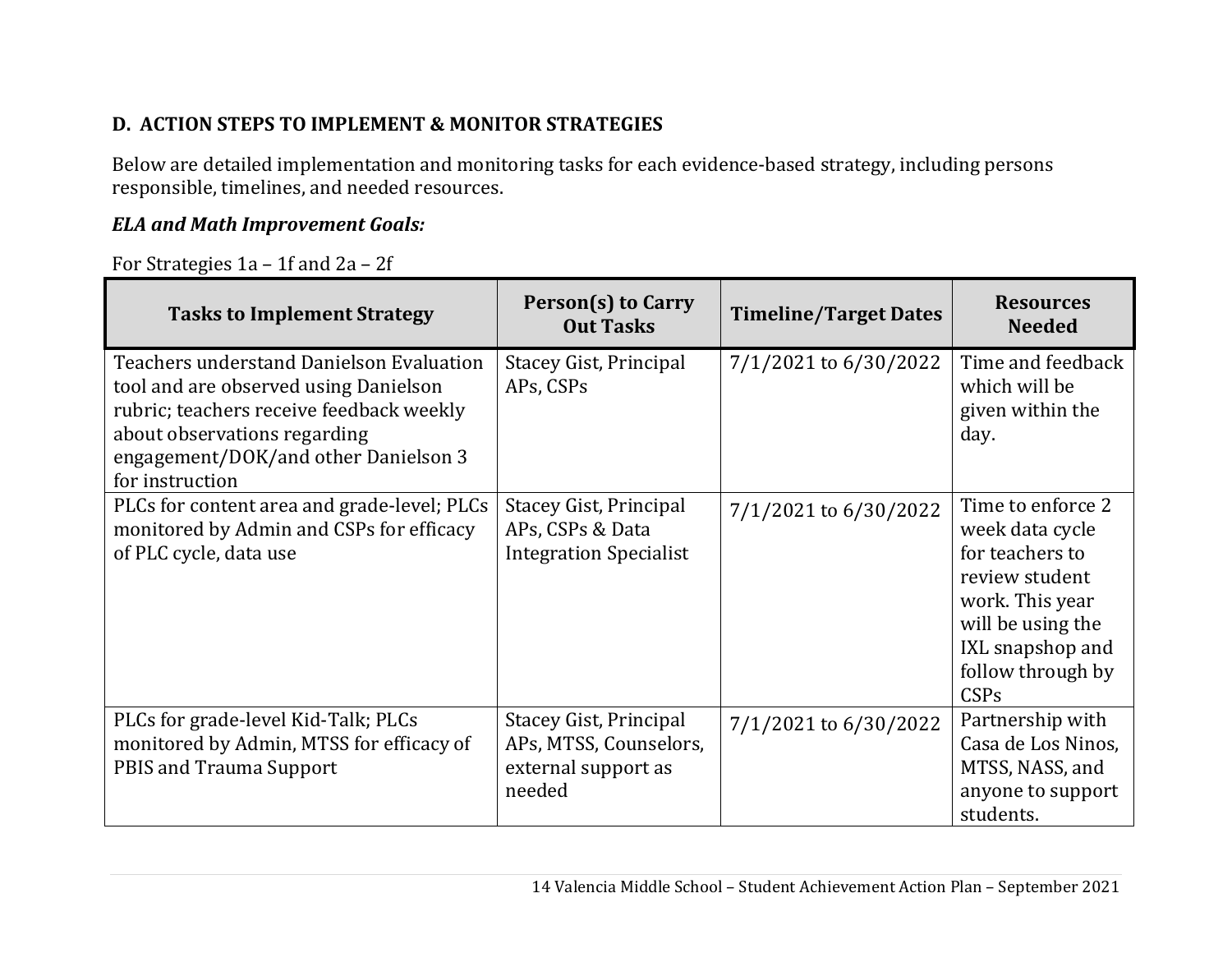# **D. ACTION STEPS TO IMPLEMENT & MONITOR STRATEGIES**

Below are detailed implementation and monitoring tasks for each evidence-based strategy, including persons responsible, timelines, and needed resources.

# *ELA and Math Improvement Goals:*

For Strategies 1a – 1f and 2a – 2f

| <b>Tasks to Implement Strategy</b>                                                                                                                                                                                              | Person(s) to Carry<br><b>Out Tasks</b>                                                   | <b>Timeline/Target Dates</b> | <b>Resources</b><br><b>Needed</b>                                                                                                                                  |
|---------------------------------------------------------------------------------------------------------------------------------------------------------------------------------------------------------------------------------|------------------------------------------------------------------------------------------|------------------------------|--------------------------------------------------------------------------------------------------------------------------------------------------------------------|
| <b>Teachers understand Danielson Evaluation</b><br>tool and are observed using Danielson<br>rubric; teachers receive feedback weekly<br>about observations regarding<br>engagement/DOK/and other Danielson 3<br>for instruction | <b>Stacey Gist, Principal</b><br>APs, CSPs                                               | 7/1/2021 to 6/30/2022        | Time and feedback<br>which will be<br>given within the<br>day.                                                                                                     |
| PLCs for content area and grade-level; PLCs<br>monitored by Admin and CSPs for efficacy<br>of PLC cycle, data use                                                                                                               | <b>Stacey Gist, Principal</b><br>APs, CSPs & Data<br><b>Integration Specialist</b>       | 7/1/2021 to 6/30/2022        | Time to enforce 2<br>week data cycle<br>for teachers to<br>review student<br>work. This year<br>will be using the<br>IXL snapshop and<br>follow through by<br>CSPs |
| PLCs for grade-level Kid-Talk; PLCs<br>monitored by Admin, MTSS for efficacy of<br>PBIS and Trauma Support                                                                                                                      | <b>Stacey Gist, Principal</b><br>APs, MTSS, Counselors,<br>external support as<br>needed | 7/1/2021 to 6/30/2022        | Partnership with<br>Casa de Los Ninos,<br>MTSS, NASS, and<br>anyone to support<br>students.                                                                        |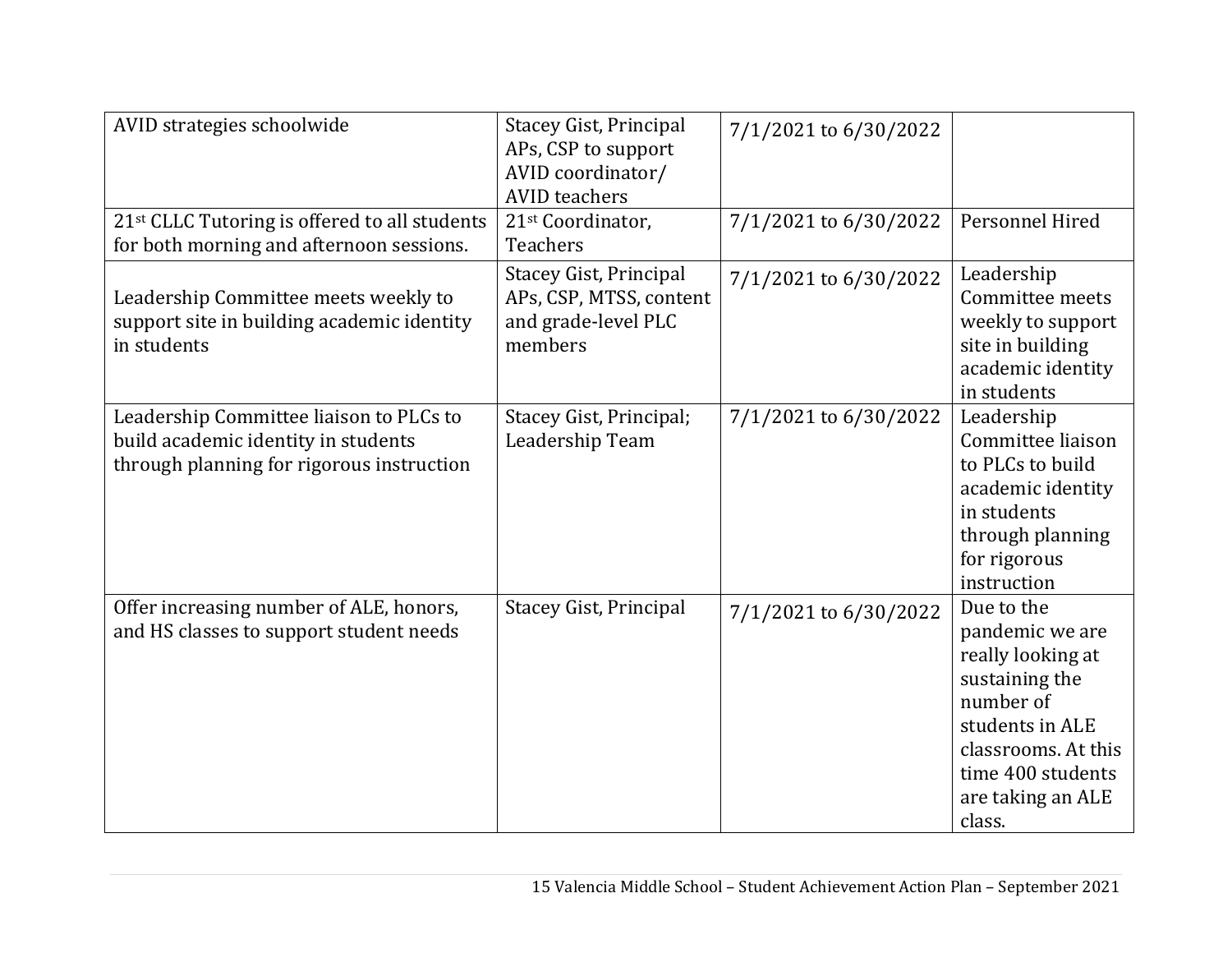| AVID strategies schoolwide                                                                                                  | <b>Stacey Gist, Principal</b><br>APs, CSP to support<br>AVID coordinator/<br><b>AVID</b> teachers | 7/1/2021 to 6/30/2022 |                                                                                                                                                                                 |
|-----------------------------------------------------------------------------------------------------------------------------|---------------------------------------------------------------------------------------------------|-----------------------|---------------------------------------------------------------------------------------------------------------------------------------------------------------------------------|
| 21 <sup>st</sup> CLLC Tutoring is offered to all students<br>for both morning and afternoon sessions.                       | 21 <sup>st</sup> Coordinator,<br><b>Teachers</b>                                                  | 7/1/2021 to 6/30/2022 | Personnel Hired                                                                                                                                                                 |
| Leadership Committee meets weekly to<br>support site in building academic identity<br>in students                           | Stacey Gist, Principal<br>APs, CSP, MTSS, content<br>and grade-level PLC<br>members               | 7/1/2021 to 6/30/2022 | Leadership<br>Committee meets<br>weekly to support<br>site in building<br>academic identity<br>in students                                                                      |
| Leadership Committee liaison to PLCs to<br>build academic identity in students<br>through planning for rigorous instruction | Stacey Gist, Principal;<br>Leadership Team                                                        | 7/1/2021 to 6/30/2022 | Leadership<br>Committee liaison<br>to PLCs to build<br>academic identity<br>in students<br>through planning<br>for rigorous<br>instruction                                      |
| Offer increasing number of ALE, honors,<br>and HS classes to support student needs                                          | <b>Stacey Gist, Principal</b>                                                                     | 7/1/2021 to 6/30/2022 | Due to the<br>pandemic we are<br>really looking at<br>sustaining the<br>number of<br>students in ALE<br>classrooms. At this<br>time 400 students<br>are taking an ALE<br>class. |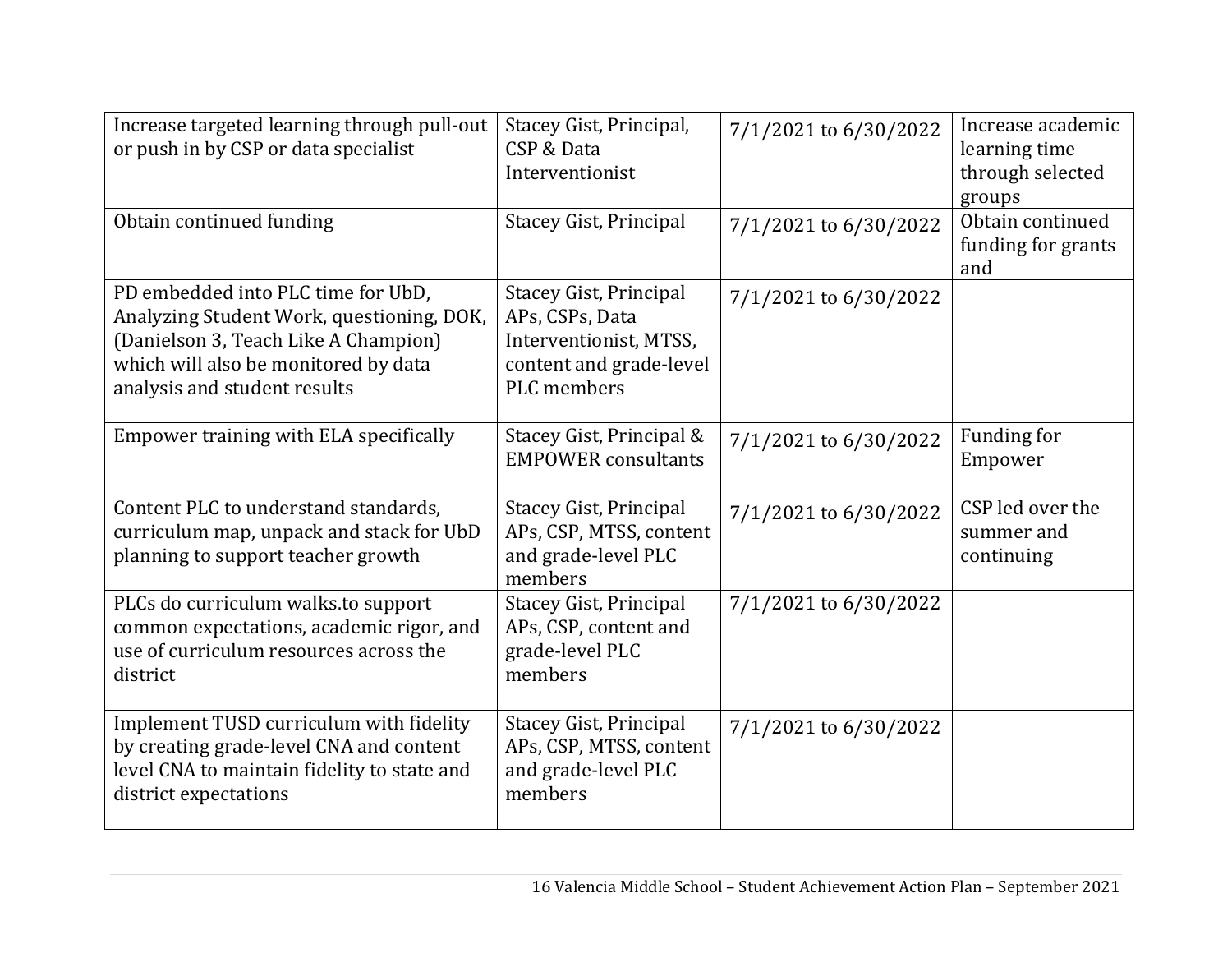| Increase targeted learning through pull-out<br>or push in by CSP or data specialist                                                                                                             | Stacey Gist, Principal,<br>CSP & Data<br>Interventionist                                                                    | 7/1/2021 to 6/30/2022 | Increase academic<br>learning time<br>through selected<br>groups |
|-------------------------------------------------------------------------------------------------------------------------------------------------------------------------------------------------|-----------------------------------------------------------------------------------------------------------------------------|-----------------------|------------------------------------------------------------------|
| Obtain continued funding                                                                                                                                                                        | <b>Stacey Gist, Principal</b>                                                                                               | 7/1/2021 to 6/30/2022 | Obtain continued<br>funding for grants<br>and                    |
| PD embedded into PLC time for UbD,<br>Analyzing Student Work, questioning, DOK,<br>(Danielson 3, Teach Like A Champion)<br>which will also be monitored by data<br>analysis and student results | <b>Stacey Gist, Principal</b><br>APs, CSPs, Data<br>Interventionist, MTSS,<br>content and grade-level<br><b>PLC</b> members | 7/1/2021 to 6/30/2022 |                                                                  |
| Empower training with ELA specifically                                                                                                                                                          | Stacey Gist, Principal &<br><b>EMPOWER</b> consultants                                                                      | 7/1/2021 to 6/30/2022 | Funding for<br>Empower                                           |
| Content PLC to understand standards,<br>curriculum map, unpack and stack for UbD<br>planning to support teacher growth                                                                          | <b>Stacey Gist, Principal</b><br>APs, CSP, MTSS, content<br>and grade-level PLC<br>members                                  | 7/1/2021 to 6/30/2022 | CSP led over the<br>summer and<br>continuing                     |
| PLCs do curriculum walks.to support<br>common expectations, academic rigor, and<br>use of curriculum resources across the<br>district                                                           | <b>Stacey Gist, Principal</b><br>APs, CSP, content and<br>grade-level PLC<br>members                                        | 7/1/2021 to 6/30/2022 |                                                                  |
| Implement TUSD curriculum with fidelity<br>by creating grade-level CNA and content<br>level CNA to maintain fidelity to state and<br>district expectations                                      | <b>Stacey Gist, Principal</b><br>APs, CSP, MTSS, content<br>and grade-level PLC<br>members                                  | 7/1/2021 to 6/30/2022 |                                                                  |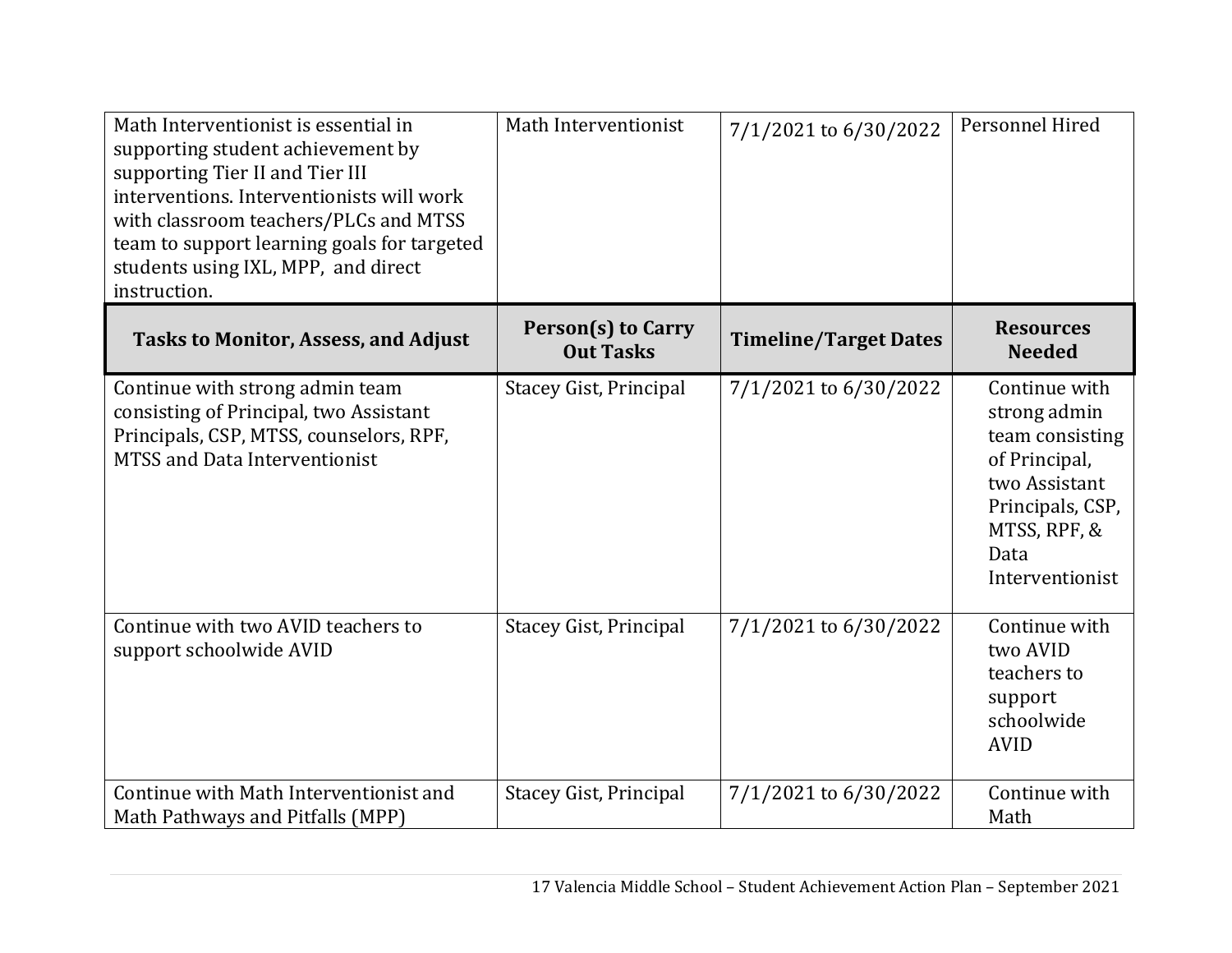| Math Interventionist is essential in<br>supporting student achievement by<br>supporting Tier II and Tier III<br>interventions. Interventionists will work<br>with classroom teachers/PLCs and MTSS<br>team to support learning goals for targeted<br>students using IXL, MPP, and direct<br>instruction. | Math Interventionist                          | 7/1/2021 to 6/30/2022        | Personnel Hired                                                                                                                                   |
|----------------------------------------------------------------------------------------------------------------------------------------------------------------------------------------------------------------------------------------------------------------------------------------------------------|-----------------------------------------------|------------------------------|---------------------------------------------------------------------------------------------------------------------------------------------------|
| <b>Tasks to Monitor, Assess, and Adjust</b>                                                                                                                                                                                                                                                              | <b>Person(s) to Carry</b><br><b>Out Tasks</b> | <b>Timeline/Target Dates</b> | <b>Resources</b><br><b>Needed</b>                                                                                                                 |
| Continue with strong admin team<br>consisting of Principal, two Assistant<br>Principals, CSP, MTSS, counselors, RPF,<br><b>MTSS and Data Interventionist</b>                                                                                                                                             | Stacey Gist, Principal                        | 7/1/2021 to 6/30/2022        | Continue with<br>strong admin<br>team consisting<br>of Principal,<br>two Assistant<br>Principals, CSP,<br>MTSS, RPF, &<br>Data<br>Interventionist |
| Continue with two AVID teachers to<br>support schoolwide AVID                                                                                                                                                                                                                                            | <b>Stacey Gist, Principal</b>                 | 7/1/2021 to 6/30/2022        | Continue with<br>two AVID<br>teachers to<br>support<br>schoolwide<br><b>AVID</b>                                                                  |
| Continue with Math Interventionist and<br>Math Pathways and Pitfalls (MPP)                                                                                                                                                                                                                               | <b>Stacey Gist, Principal</b>                 | 7/1/2021 to 6/30/2022        | Continue with<br>Math                                                                                                                             |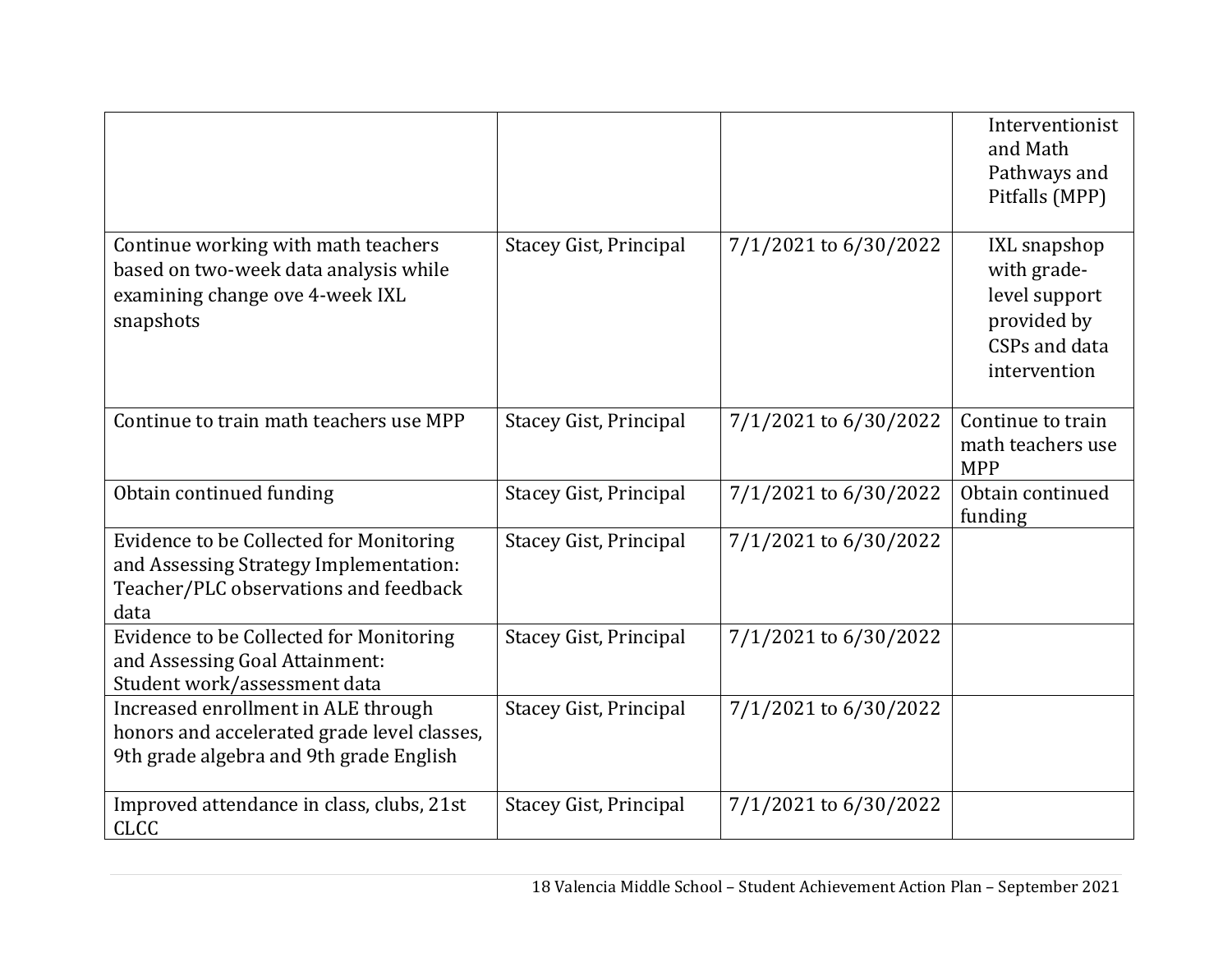|                                                                                                                                    |                               |                       | Interventionist<br>and Math<br>Pathways and<br>Pitfalls (MPP)                                       |
|------------------------------------------------------------------------------------------------------------------------------------|-------------------------------|-----------------------|-----------------------------------------------------------------------------------------------------|
| Continue working with math teachers<br>based on two-week data analysis while<br>examining change ove 4-week IXL<br>snapshots       | <b>Stacey Gist, Principal</b> | 7/1/2021 to 6/30/2022 | <b>IXL</b> snapshop<br>with grade-<br>level support<br>provided by<br>CSPs and data<br>intervention |
| Continue to train math teachers use MPP                                                                                            | Stacey Gist, Principal        | 7/1/2021 to 6/30/2022 | Continue to train<br>math teachers use<br><b>MPP</b>                                                |
| Obtain continued funding                                                                                                           | <b>Stacey Gist, Principal</b> | 7/1/2021 to 6/30/2022 | Obtain continued<br>funding                                                                         |
| Evidence to be Collected for Monitoring<br>and Assessing Strategy Implementation:<br>Teacher/PLC observations and feedback<br>data | <b>Stacey Gist, Principal</b> | 7/1/2021 to 6/30/2022 |                                                                                                     |
| Evidence to be Collected for Monitoring<br>and Assessing Goal Attainment:<br>Student work/assessment data                          | <b>Stacey Gist, Principal</b> | 7/1/2021 to 6/30/2022 |                                                                                                     |
| Increased enrollment in ALE through<br>honors and accelerated grade level classes,<br>9th grade algebra and 9th grade English      | <b>Stacey Gist, Principal</b> | 7/1/2021 to 6/30/2022 |                                                                                                     |
| Improved attendance in class, clubs, 21st<br><b>CLCC</b>                                                                           | Stacey Gist, Principal        | 7/1/2021 to 6/30/2022 |                                                                                                     |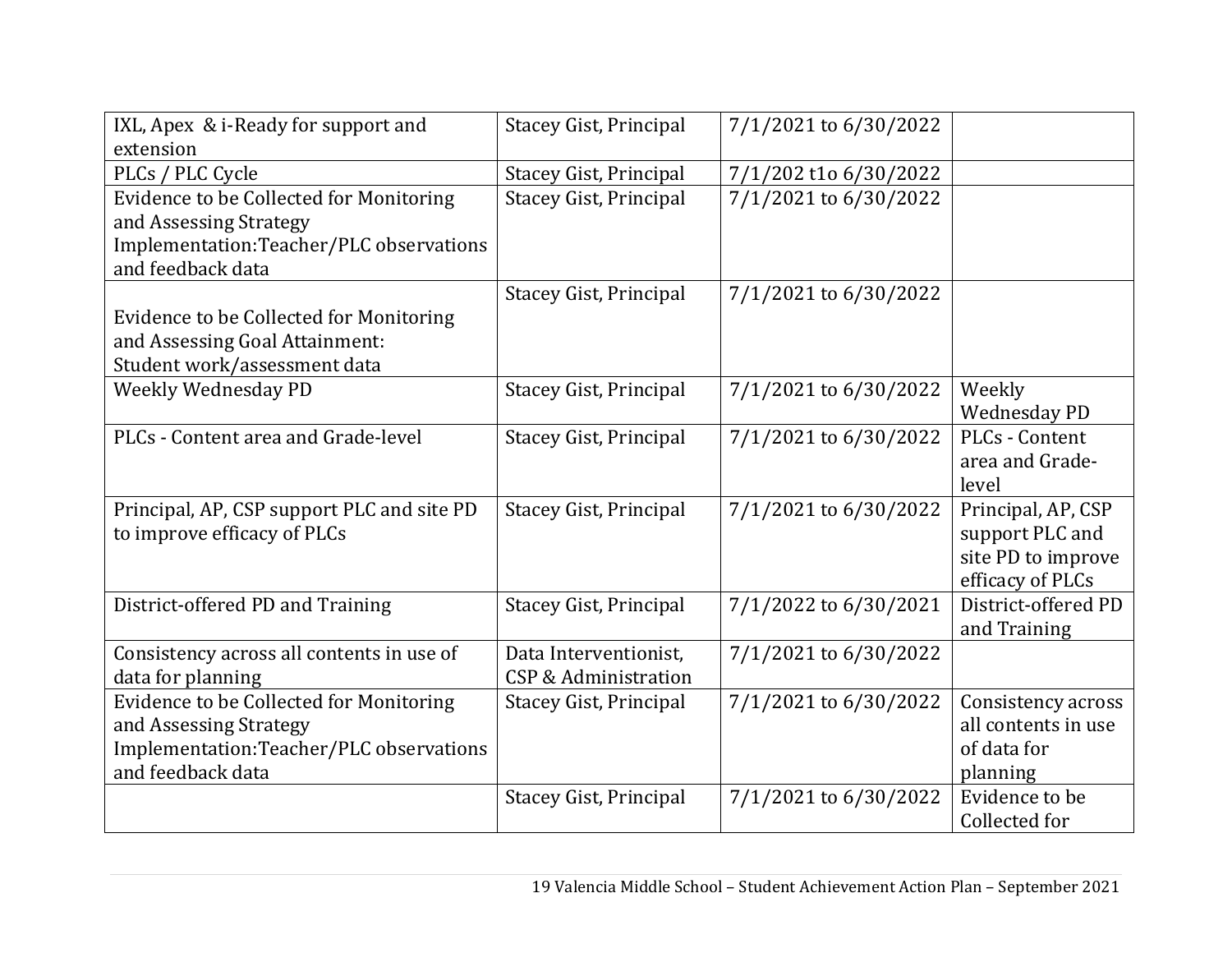| IXL, Apex & i-Ready for support and        | <b>Stacey Gist, Principal</b> | 7/1/2021 to 6/30/2022 |                     |
|--------------------------------------------|-------------------------------|-----------------------|---------------------|
| extension                                  |                               |                       |                     |
| PLCs / PLC Cycle                           | <b>Stacey Gist, Principal</b> | 7/1/202 t1o 6/30/2022 |                     |
| Evidence to be Collected for Monitoring    | <b>Stacey Gist, Principal</b> | 7/1/2021 to 6/30/2022 |                     |
| and Assessing Strategy                     |                               |                       |                     |
| Implementation:Teacher/PLC observations    |                               |                       |                     |
| and feedback data                          |                               |                       |                     |
|                                            | <b>Stacey Gist, Principal</b> | 7/1/2021 to 6/30/2022 |                     |
| Evidence to be Collected for Monitoring    |                               |                       |                     |
| and Assessing Goal Attainment:             |                               |                       |                     |
| Student work/assessment data               |                               |                       |                     |
| Weekly Wednesday PD                        | <b>Stacey Gist, Principal</b> | 7/1/2021 to 6/30/2022 | Weekly              |
|                                            |                               |                       | <b>Wednesday PD</b> |
| PLCs - Content area and Grade-level        | <b>Stacey Gist, Principal</b> | 7/1/2021 to 6/30/2022 | PLCs - Content      |
|                                            |                               |                       | area and Grade-     |
|                                            |                               |                       | level               |
| Principal, AP, CSP support PLC and site PD | <b>Stacey Gist, Principal</b> | 7/1/2021 to 6/30/2022 | Principal, AP, CSP  |
| to improve efficacy of PLCs                |                               |                       | support PLC and     |
|                                            |                               |                       | site PD to improve  |
|                                            |                               |                       | efficacy of PLCs    |
| District-offered PD and Training           | <b>Stacey Gist, Principal</b> | 7/1/2022 to 6/30/2021 | District-offered PD |
|                                            |                               |                       | and Training        |
| Consistency across all contents in use of  | Data Interventionist,         | 7/1/2021 to 6/30/2022 |                     |
| data for planning                          | CSP & Administration          |                       |                     |
| Evidence to be Collected for Monitoring    | <b>Stacey Gist, Principal</b> | 7/1/2021 to 6/30/2022 | Consistency across  |
| and Assessing Strategy                     |                               |                       | all contents in use |
| Implementation:Teacher/PLC observations    |                               |                       | of data for         |
| and feedback data                          |                               |                       | planning            |
|                                            | <b>Stacey Gist, Principal</b> | 7/1/2021 to 6/30/2022 | Evidence to be      |
|                                            |                               |                       | Collected for       |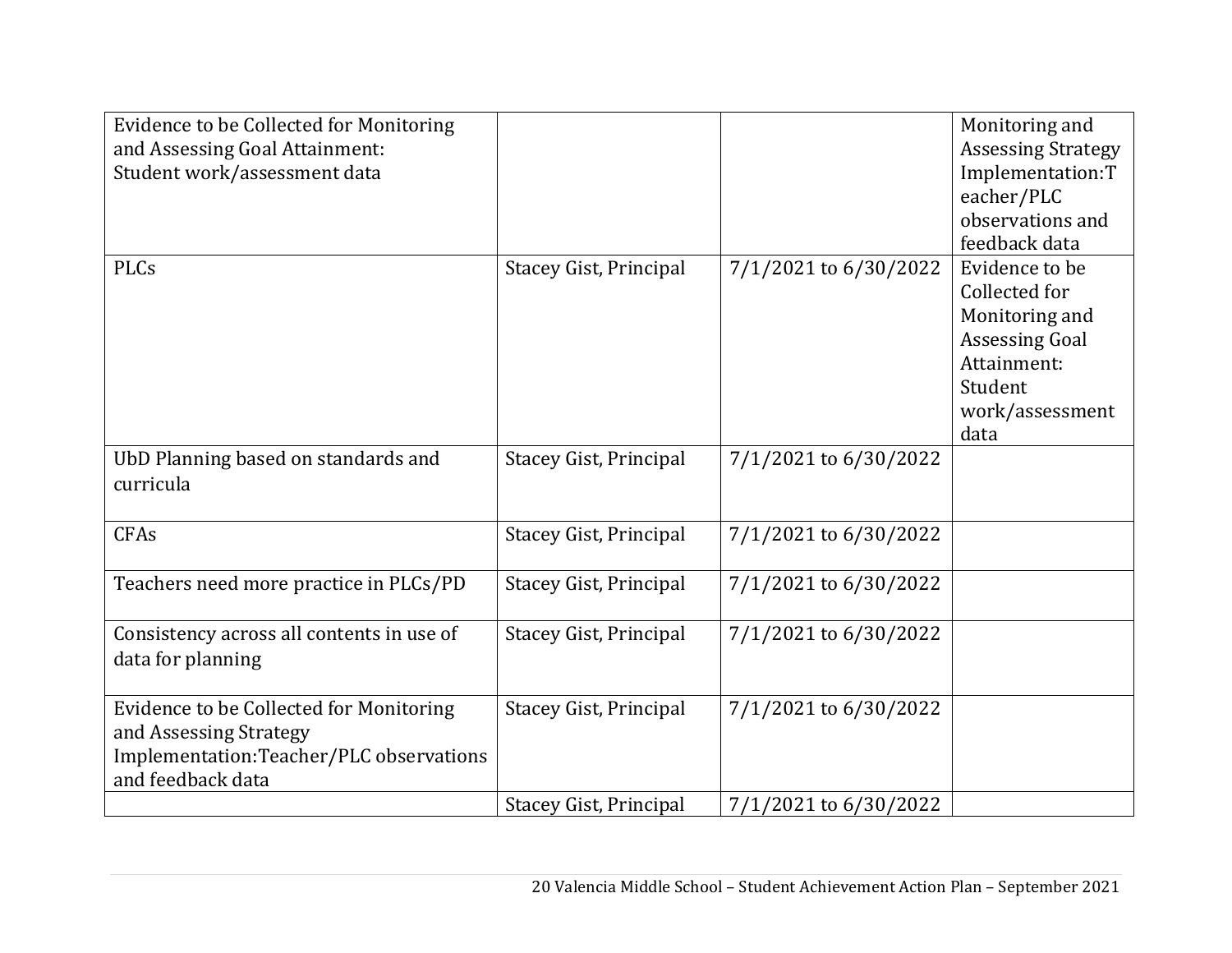| Evidence to be Collected for Monitoring          |                               |                       | Monitoring and            |
|--------------------------------------------------|-------------------------------|-----------------------|---------------------------|
| and Assessing Goal Attainment:                   |                               |                       | <b>Assessing Strategy</b> |
| Student work/assessment data                     |                               |                       | Implementation:T          |
|                                                  |                               |                       | eacher/PLC                |
|                                                  |                               |                       | observations and          |
|                                                  |                               |                       | feedback data             |
| <b>PLCs</b>                                      | <b>Stacey Gist, Principal</b> | 7/1/2021 to 6/30/2022 | Evidence to be            |
|                                                  |                               |                       | Collected for             |
|                                                  |                               |                       | Monitoring and            |
|                                                  |                               |                       | <b>Assessing Goal</b>     |
|                                                  |                               |                       | Attainment:               |
|                                                  |                               |                       | Student                   |
|                                                  |                               |                       | work/assessment<br>data   |
|                                                  |                               | 7/1/2021 to 6/30/2022 |                           |
| UbD Planning based on standards and<br>curricula | <b>Stacey Gist, Principal</b> |                       |                           |
|                                                  |                               |                       |                           |
| <b>CFAs</b>                                      | <b>Stacey Gist, Principal</b> | 7/1/2021 to 6/30/2022 |                           |
|                                                  |                               |                       |                           |
| Teachers need more practice in PLCs/PD           | <b>Stacey Gist, Principal</b> | 7/1/2021 to 6/30/2022 |                           |
|                                                  |                               |                       |                           |
| Consistency across all contents in use of        | <b>Stacey Gist, Principal</b> | 7/1/2021 to 6/30/2022 |                           |
| data for planning                                |                               |                       |                           |
|                                                  |                               |                       |                           |
| Evidence to be Collected for Monitoring          | <b>Stacey Gist, Principal</b> | 7/1/2021 to 6/30/2022 |                           |
| and Assessing Strategy                           |                               |                       |                           |
| Implementation:Teacher/PLC observations          |                               |                       |                           |
| and feedback data                                |                               |                       |                           |
|                                                  | <b>Stacey Gist, Principal</b> | 7/1/2021 to 6/30/2022 |                           |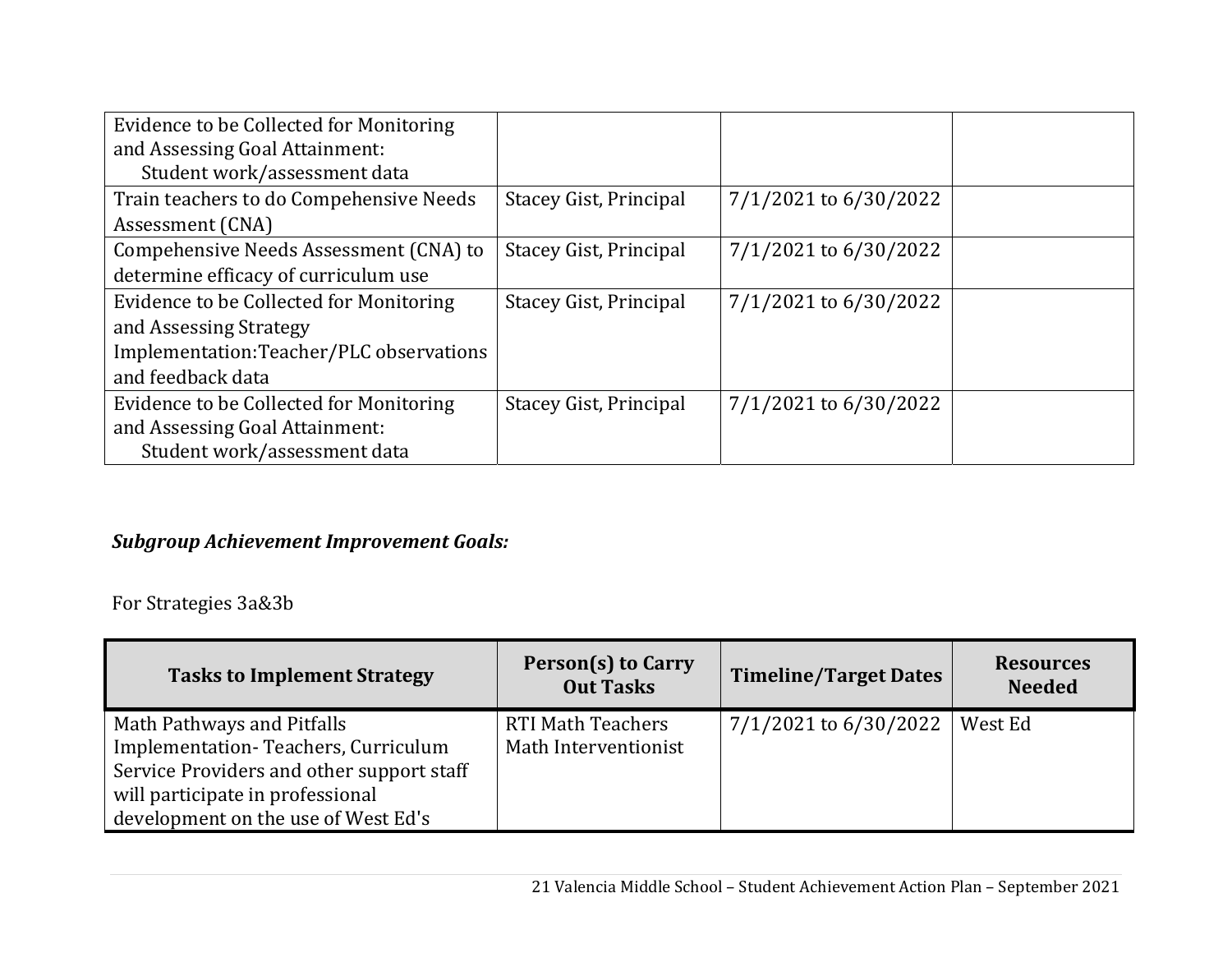| Evidence to be Collected for Monitoring |                               |                       |  |
|-----------------------------------------|-------------------------------|-----------------------|--|
| and Assessing Goal Attainment:          |                               |                       |  |
| Student work/assessment data            |                               |                       |  |
| Train teachers to do Compehensive Needs | <b>Stacey Gist, Principal</b> | 7/1/2021 to 6/30/2022 |  |
| Assessment (CNA)                        |                               |                       |  |
| Compehensive Needs Assessment (CNA) to  | Stacey Gist, Principal        | 7/1/2021 to 6/30/2022 |  |
| determine efficacy of curriculum use    |                               |                       |  |
| Evidence to be Collected for Monitoring | <b>Stacey Gist, Principal</b> | 7/1/2021 to 6/30/2022 |  |
| and Assessing Strategy                  |                               |                       |  |
| Implementation:Teacher/PLC observations |                               |                       |  |
| and feedback data                       |                               |                       |  |
| Evidence to be Collected for Monitoring | Stacey Gist, Principal        | 7/1/2021 to 6/30/2022 |  |
| and Assessing Goal Attainment:          |                               |                       |  |
| Student work/assessment data            |                               |                       |  |

# *Subgroup Achievement Improvement Goals:*

For Strategies 3a&3b

| <b>Tasks to Implement Strategy</b>                                                                                                                                                        | Person(s) to Carry<br><b>Out Tasks</b>           | <b>Timeline/Target Dates</b> | <b>Resources</b><br><b>Needed</b> |
|-------------------------------------------------------------------------------------------------------------------------------------------------------------------------------------------|--------------------------------------------------|------------------------------|-----------------------------------|
| Math Pathways and Pitfalls<br>Implementation-Teachers, Curriculum<br>Service Providers and other support staff<br>will participate in professional<br>development on the use of West Ed's | <b>RTI Math Teachers</b><br>Math Interventionist | $7/1/2021$ to 6/30/2022      | West Ed                           |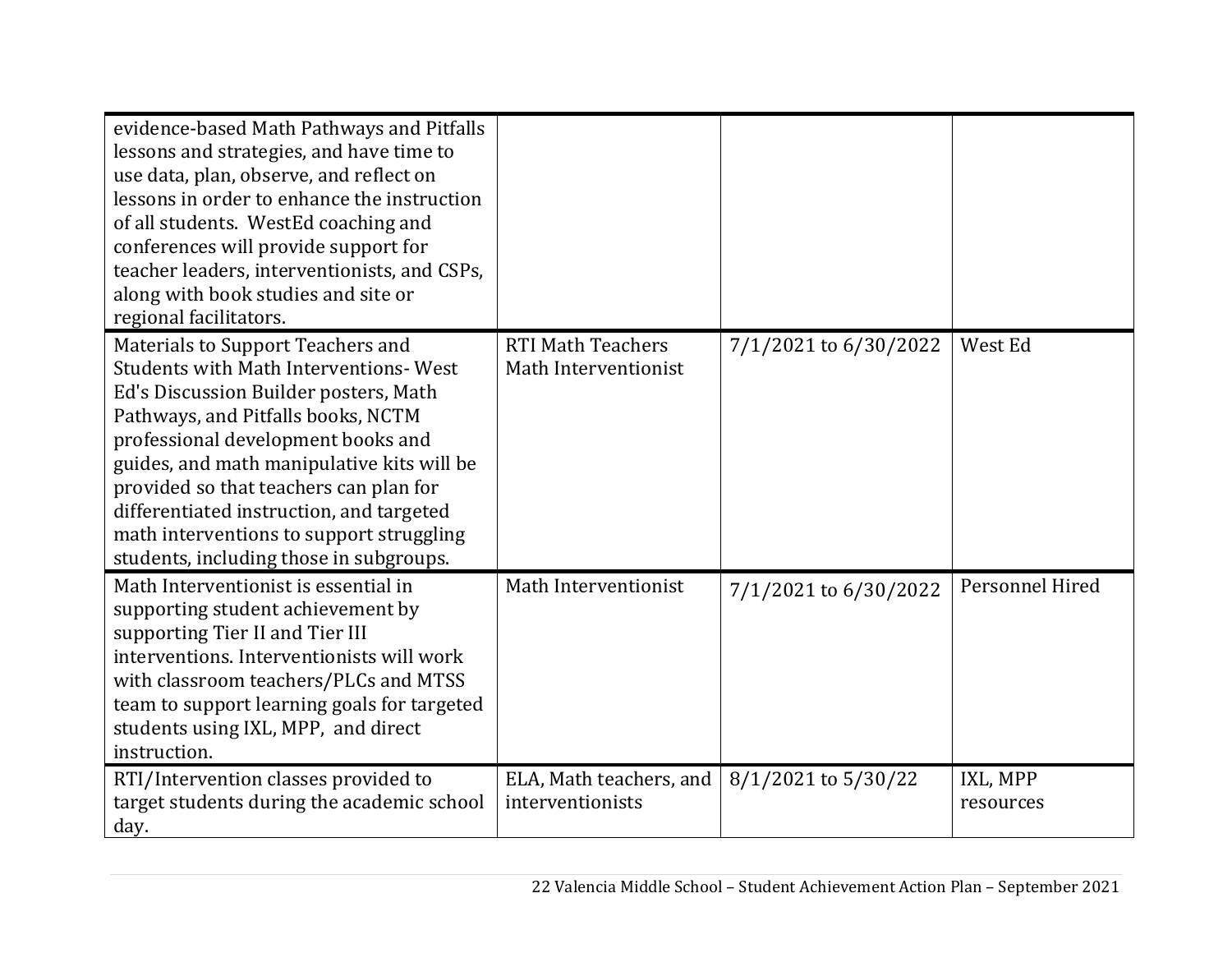| evidence-based Math Pathways and Pitfalls<br>lessons and strategies, and have time to<br>use data, plan, observe, and reflect on<br>lessons in order to enhance the instruction<br>of all students. WestEd coaching and<br>conferences will provide support for<br>teacher leaders, interventionists, and CSPs,<br>along with book studies and site or<br>regional facilitators.                                                  |                                                  |                       |                       |
|-----------------------------------------------------------------------------------------------------------------------------------------------------------------------------------------------------------------------------------------------------------------------------------------------------------------------------------------------------------------------------------------------------------------------------------|--------------------------------------------------|-----------------------|-----------------------|
| Materials to Support Teachers and<br><b>Students with Math Interventions-West</b><br>Ed's Discussion Builder posters, Math<br>Pathways, and Pitfalls books, NCTM<br>professional development books and<br>guides, and math manipulative kits will be<br>provided so that teachers can plan for<br>differentiated instruction, and targeted<br>math interventions to support struggling<br>students, including those in subgroups. | <b>RTI Math Teachers</b><br>Math Interventionist | 7/1/2021 to 6/30/2022 | West Ed               |
| Math Interventionist is essential in<br>supporting student achievement by<br>supporting Tier II and Tier III<br>interventions. Interventionists will work<br>with classroom teachers/PLCs and MTSS<br>team to support learning goals for targeted<br>students using IXL, MPP, and direct<br>instruction.                                                                                                                          | Math Interventionist                             | 7/1/2021 to 6/30/2022 | Personnel Hired       |
| RTI/Intervention classes provided to<br>target students during the academic school<br>day.                                                                                                                                                                                                                                                                                                                                        | ELA, Math teachers, and<br>interventionists      | 8/1/2021 to 5/30/22   | IXL, MPP<br>resources |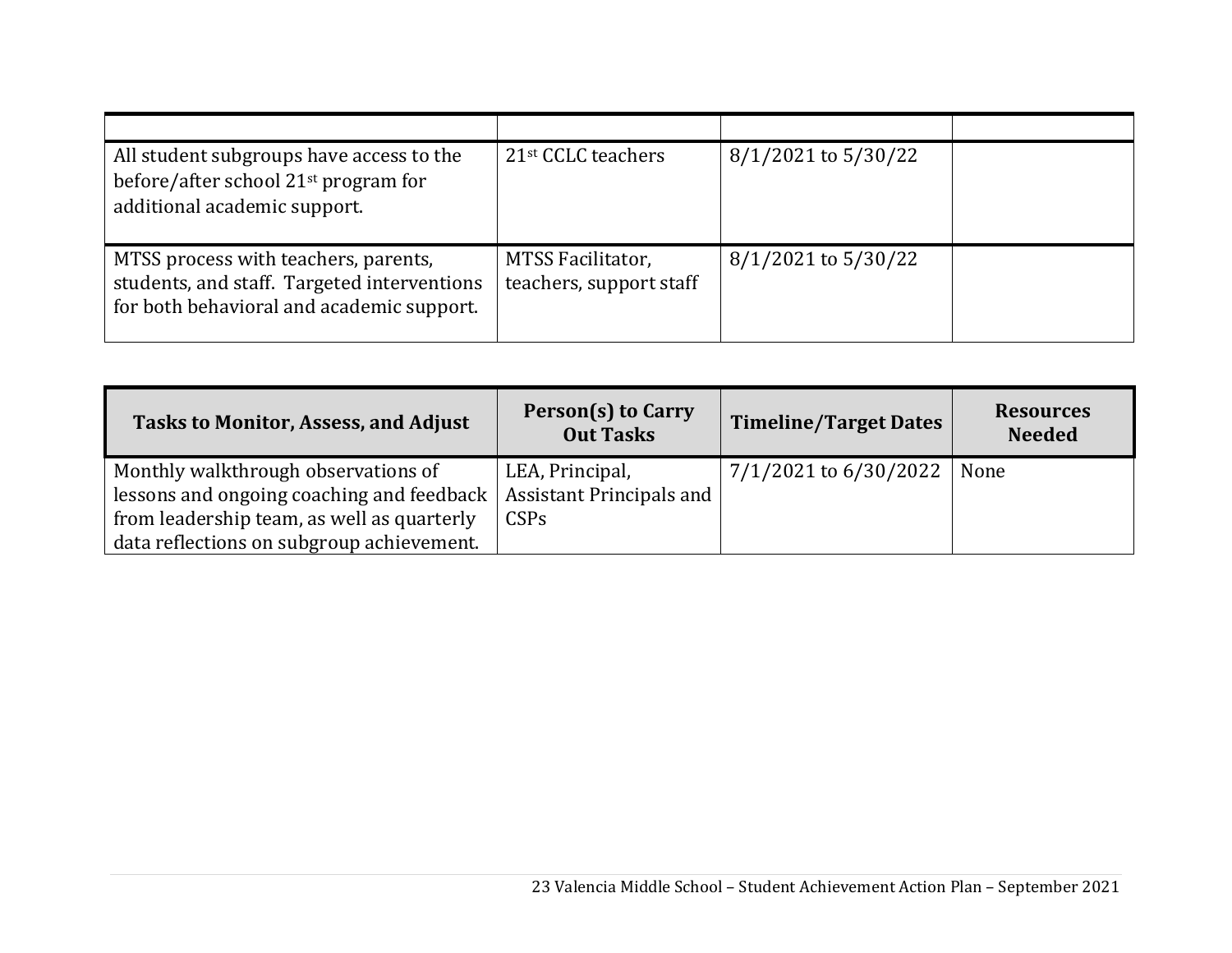| All student subgroups have access to the<br>before/after school 21 <sup>st</sup> program for<br>additional academic support.     | 21 <sup>st</sup> CCLC teachers               | $8/1/2021$ to $5/30/22$ |  |
|----------------------------------------------------------------------------------------------------------------------------------|----------------------------------------------|-------------------------|--|
| MTSS process with teachers, parents,<br>students, and staff. Targeted interventions<br>for both behavioral and academic support. | MTSS Facilitator,<br>teachers, support staff | $8/1/2021$ to $5/30/22$ |  |

| <b>Tasks to Monitor, Assess, and Adjust</b> | Person(s) to Carry<br><b>Out Tasks</b> | <b>Timeline/Target Dates</b> | <b>Resources</b><br><b>Needed</b> |
|---------------------------------------------|----------------------------------------|------------------------------|-----------------------------------|
| Monthly walkthrough observations of         | LEA, Principal,                        | 7/1/2021 to 6/30/2022        | None                              |
| lessons and ongoing coaching and feedback   | <b>Assistant Principals and</b>        |                              |                                   |
| from leadership team, as well as quarterly  | <b>CSPs</b>                            |                              |                                   |
| data reflections on subgroup achievement.   |                                        |                              |                                   |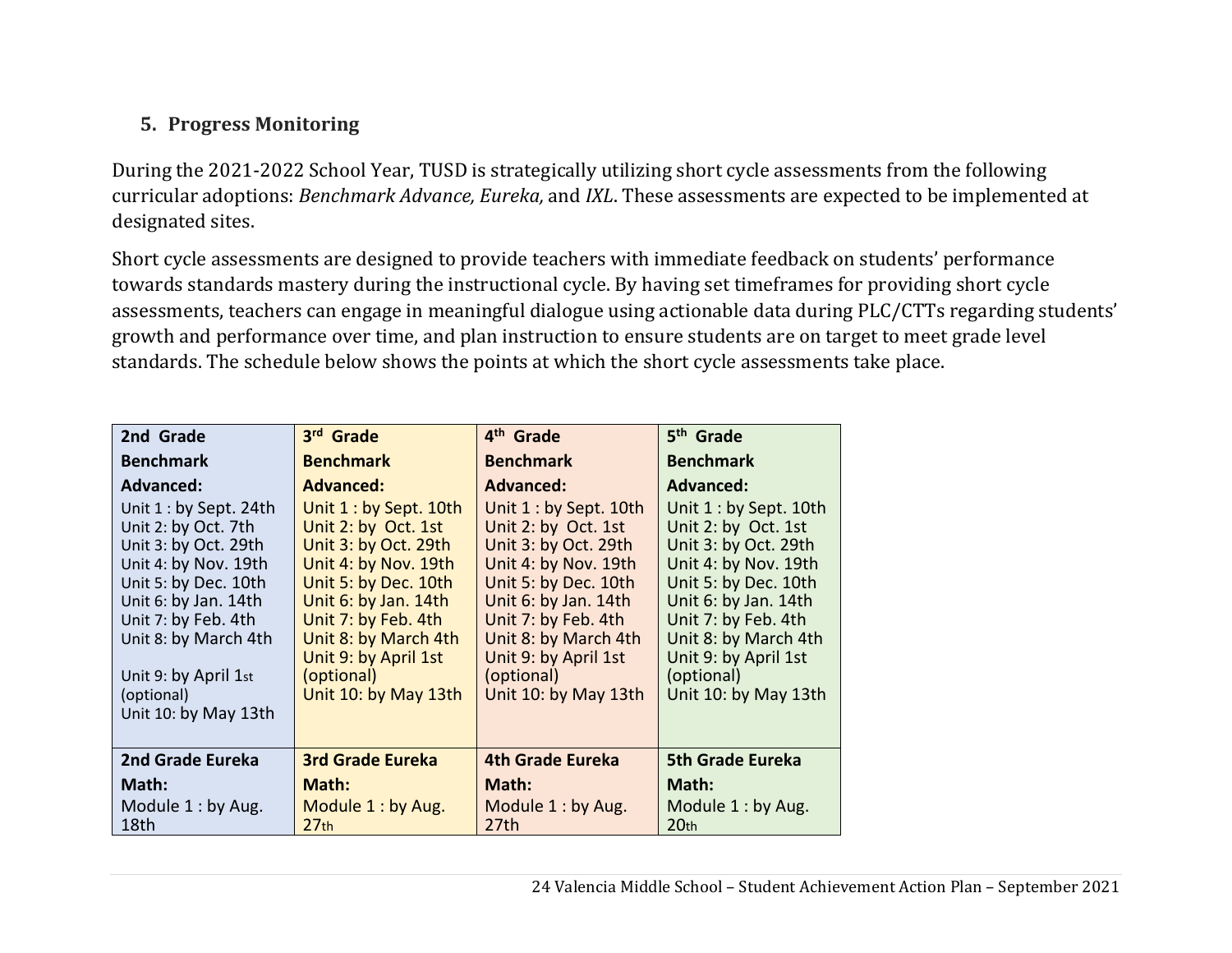# **5. Progress Monitoring**

During the 2021-2022 School Year, TUSD is strategically utilizing short cycle assessments from the following curricular adoptions: *Benchmark Advance, Eureka,* and *IXL*. These assessments are expected to be implemented at designated sites.

Short cycle assessments are designed to provide teachers with immediate feedback on students' performance towards standards mastery during the instructional cycle. By having set timeframes for providing short cycle assessments, teachers can engage in meaningful dialogue using actionable data during PLC/CTTs regarding students' growth and performance over time, and plan instruction to ensure students are on target to meet grade level standards. The schedule below shows the points at which the short cycle assessments take place.

| 2nd Grade               | 3rd Grade               | 4 <sup>th</sup> Grade   | 5 <sup>th</sup> Grade   |
|-------------------------|-------------------------|-------------------------|-------------------------|
| <b>Benchmark</b>        | <b>Benchmark</b>        | <b>Benchmark</b>        | <b>Benchmark</b>        |
| <b>Advanced:</b>        | <b>Advanced:</b>        | <b>Advanced:</b>        | <b>Advanced:</b>        |
| Unit $1:$ by Sept. 24th | Unit 1 : by Sept. 10th  | Unit 1 : by Sept. 10th  | Unit 1 : by Sept. 10th  |
| Unit 2: by Oct. 7th     | Unit 2: by Oct. 1st     | Unit 2: by Oct. 1st     | Unit 2: by Oct. 1st     |
| Unit 3: by Oct. 29th    | Unit 3: by Oct. 29th    | Unit 3: by Oct. 29th    | Unit 3: by Oct. 29th    |
| Unit 4: by Nov. 19th    | Unit 4: by Nov. 19th    | Unit 4: by Nov. 19th    | Unit 4: by Nov. 19th    |
| Unit 5: by Dec. 10th    | Unit 5: by Dec. 10th    | Unit 5: by Dec. 10th    | Unit 5: by Dec. 10th    |
| Unit 6: by Jan. 14th    | Unit 6: by Jan. 14th    | Unit 6: by Jan. 14th    | Unit 6: by Jan. 14th    |
| Unit 7: by Feb. 4th     | Unit 7: by Feb. 4th     | Unit 7: by Feb. 4th     | Unit 7: by Feb. 4th     |
| Unit 8: by March 4th    | Unit 8: by March 4th    | Unit 8: by March 4th    | Unit 8: by March 4th    |
|                         | Unit 9: by April 1st    | Unit 9: by April 1st    | Unit 9: by April 1st    |
| Unit 9: by April 1st    | (optional)              | (optional)              | (optional)              |
| (optional)              | Unit 10: by May 13th    | Unit 10: by May 13th    | Unit 10: by May 13th    |
| Unit 10: by May 13th    |                         |                         |                         |
|                         |                         |                         |                         |
| 2nd Grade Eureka        | <b>3rd Grade Eureka</b> | <b>4th Grade Eureka</b> | <b>5th Grade Eureka</b> |
| Math:                   | Math:                   | Math:                   | Math:                   |
| Module $1:$ by Aug.     | Module 1: by Aug.       | Module 1: by Aug.       | Module 1: by Aug.       |
| 18th                    | 27 <sub>th</sub>        | 27th                    | 20 <sub>th</sub>        |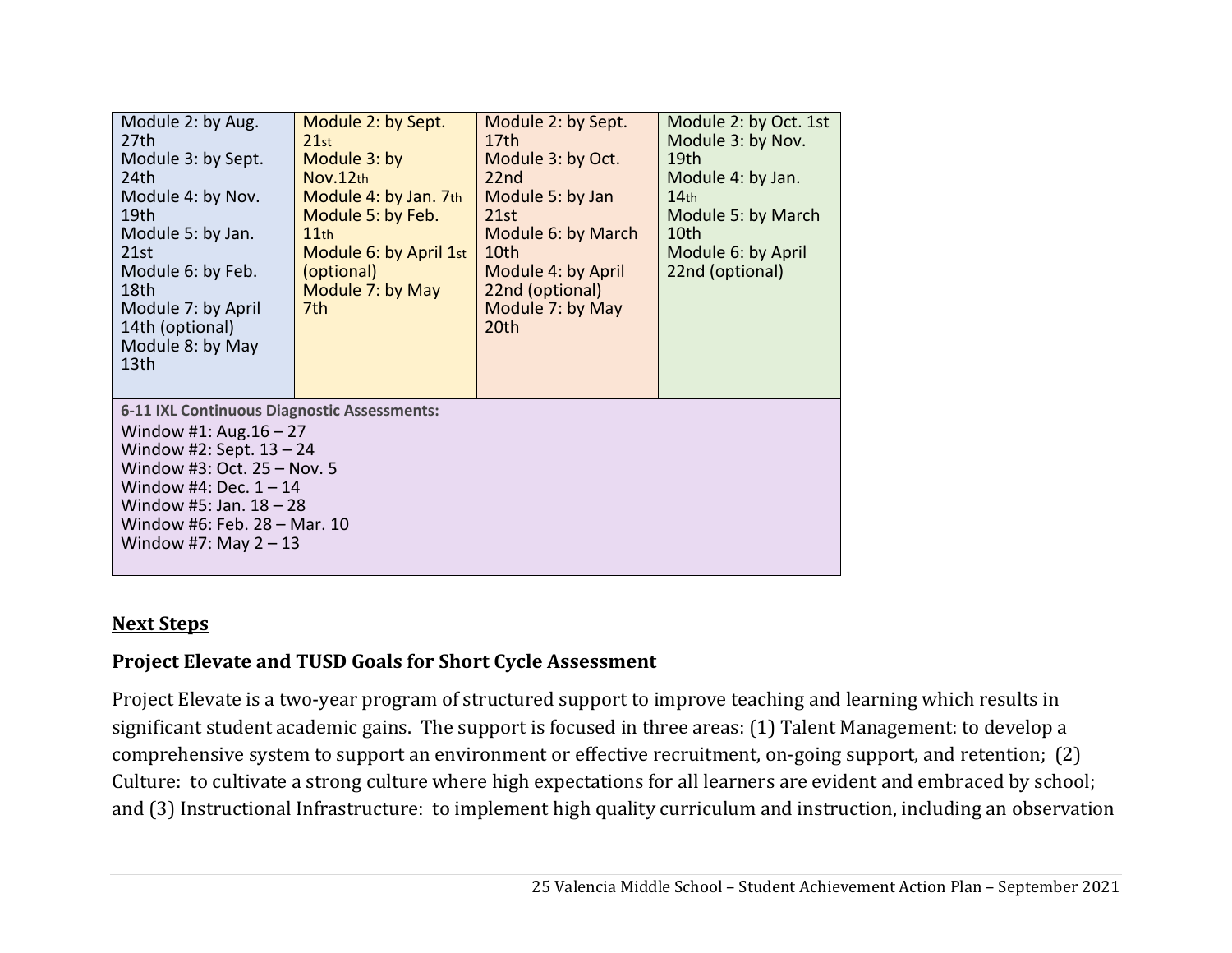| Module 2: by Aug.<br>27th<br>Module 3: by Sept.<br>24 <sub>th</sub><br>Module 4: by Nov.<br>19th<br>Module 5: by Jan.<br>21st<br>Module 6: by Feb.<br>18th<br>Module 7: by April<br>14th (optional)<br>Module 8: by May<br>13th                           | Module 2: by Sept.<br>21st<br>Module 3: by<br>Nov.12th<br>Module 4: by Jan. 7th<br>Module 5: by Feb.<br>11th<br>Module 6: by April 1st<br>(optional)<br>Module 7: by May<br>7th. | Module 2: by Sept.<br>17 <sub>th</sub><br>Module 3: by Oct.<br>22 <sub>nd</sub><br>Module 5: by Jan<br>21st<br>Module 6: by March<br>10th<br>Module 4: by April<br>22nd (optional)<br>Module 7: by May<br>20th | Module 2: by Oct. 1st<br>Module 3: by Nov.<br>19 <sub>th</sub><br>Module 4: by Jan.<br>14 <sub>th</sub><br>Module 5: by March<br>10th<br>Module 6: by April<br>22nd (optional) |  |  |
|-----------------------------------------------------------------------------------------------------------------------------------------------------------------------------------------------------------------------------------------------------------|----------------------------------------------------------------------------------------------------------------------------------------------------------------------------------|----------------------------------------------------------------------------------------------------------------------------------------------------------------------------------------------------------------|--------------------------------------------------------------------------------------------------------------------------------------------------------------------------------|--|--|
| 6-11 IXL Continuous Diagnostic Assessments:<br>Window #1: Aug. $16 - 27$<br>Window #2: Sept. $13 - 24$<br>Window #3: Oct. 25 - Nov. 5<br>Window #4: Dec. $1 - 14$<br>Window #5: Jan. $18 - 28$<br>Window #6: Feb. 28 - Mar. 10<br>Window #7: May $2 - 13$ |                                                                                                                                                                                  |                                                                                                                                                                                                                |                                                                                                                                                                                |  |  |

## **Next Steps**

# **Project Elevate and TUSD Goals for Short Cycle Assessment**

Project Elevate is a two-year program of structured support to improve teaching and learning which results in significant student academic gains. The support is focused in three areas: (1) Talent Management: to develop a comprehensive system to support an environment or effective recruitment, on-going support, and retention; (2) Culture: to cultivate a strong culture where high expectations for all learners are evident and embraced by school; and (3) Instructional Infrastructure: to implement high quality curriculum and instruction, including an observation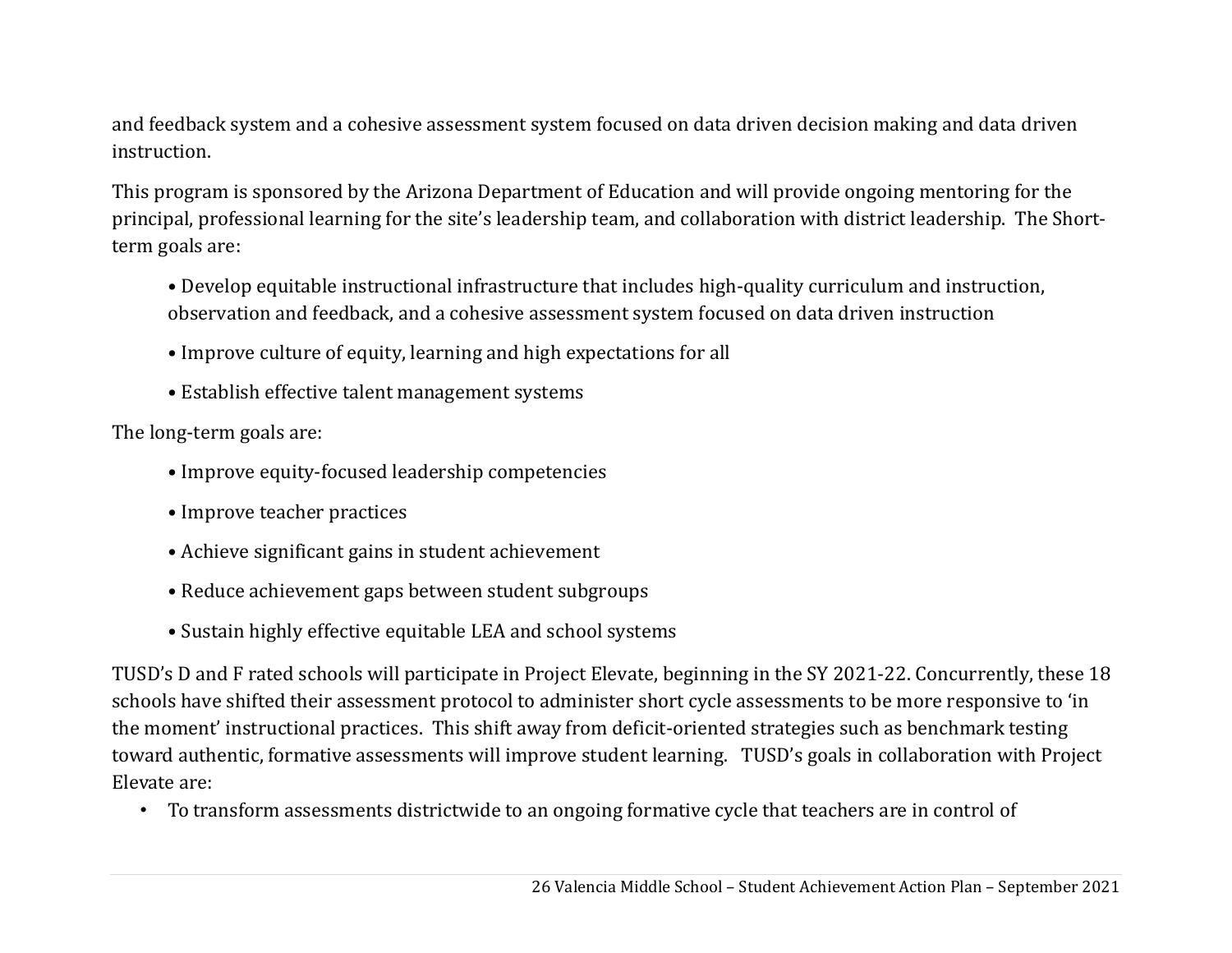and feedback system and a cohesive assessment system focused on data driven decision making and data driven instruction.

This program is sponsored by the Arizona Department of Education and will provide ongoing mentoring for the principal, professional learning for the site's leadership team, and collaboration with district leadership. The Shortterm goals are:

- Develop equitable instructional infrastructure that includes high-quality curriculum and instruction, observation and feedback, and a cohesive assessment system focused on data driven instruction
- Improve culture of equity, learning and high expectations for all
- Establish effective talent management systems

The long-term goals are:

- Improve equity-focused leadership competencies
- Improve teacher practices
- Achieve significant gains in student achievement
- Reduce achievement gaps between student subgroups
- Sustain highly effective equitable LEA and school systems

TUSD's D and F rated schools will participate in Project Elevate, beginning in the SY 2021-22. Concurrently, these 18 schools have shifted their assessment protocol to administer short cycle assessments to be more responsive to 'in the moment' instructional practices. This shift away from deficit-oriented strategies such as benchmark testing toward authentic, formative assessments will improve student learning. TUSD's goals in collaboration with Project Elevate are:

• To transform assessments districtwide to an ongoing formative cycle that teachers are in control of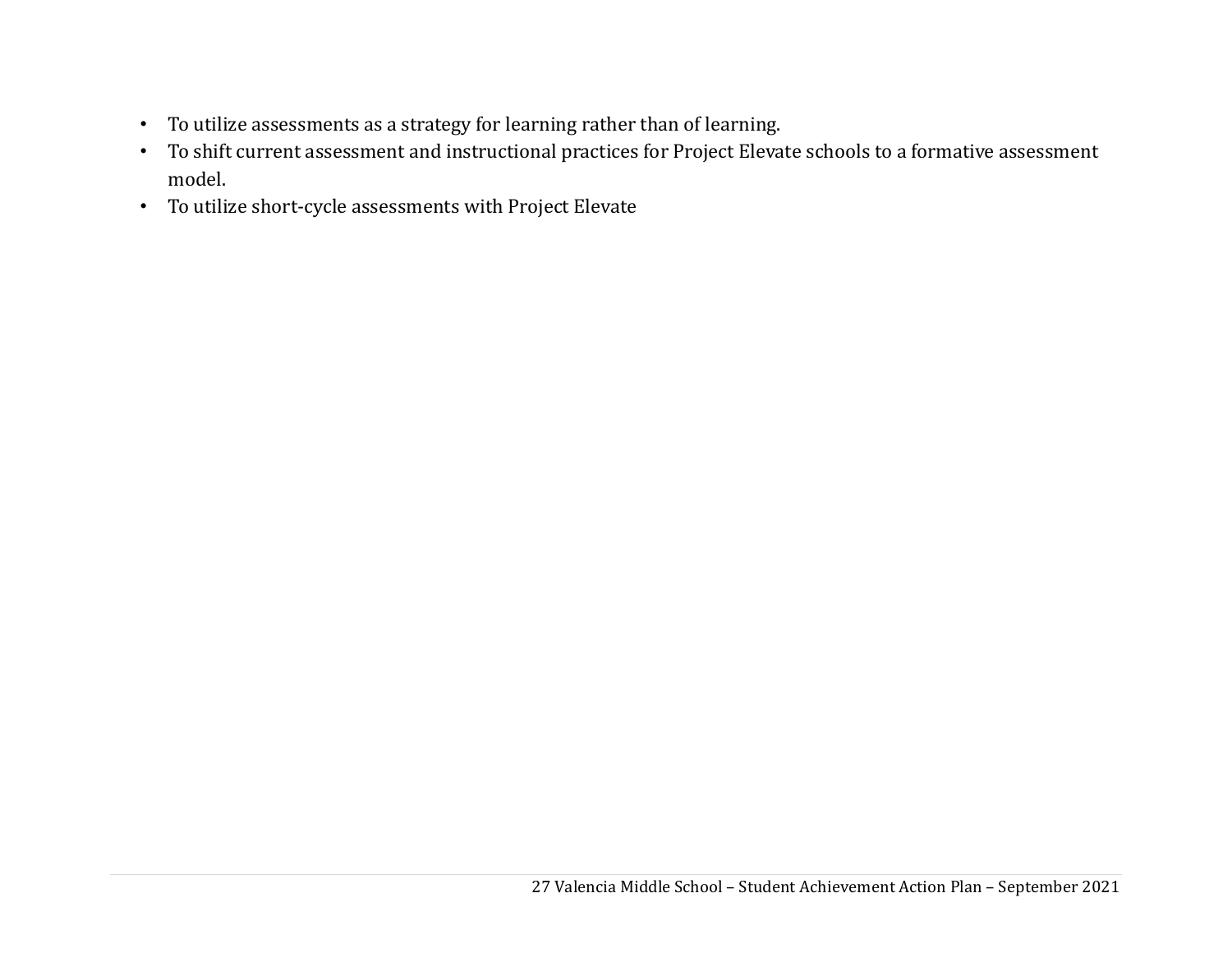- To utilize assessments as a strategy for learning rather than of learning.
- To shift current assessment and instructional practices for Project Elevate schools to a formative assessment model.
- To utilize short-cycle assessments with Project Elevate